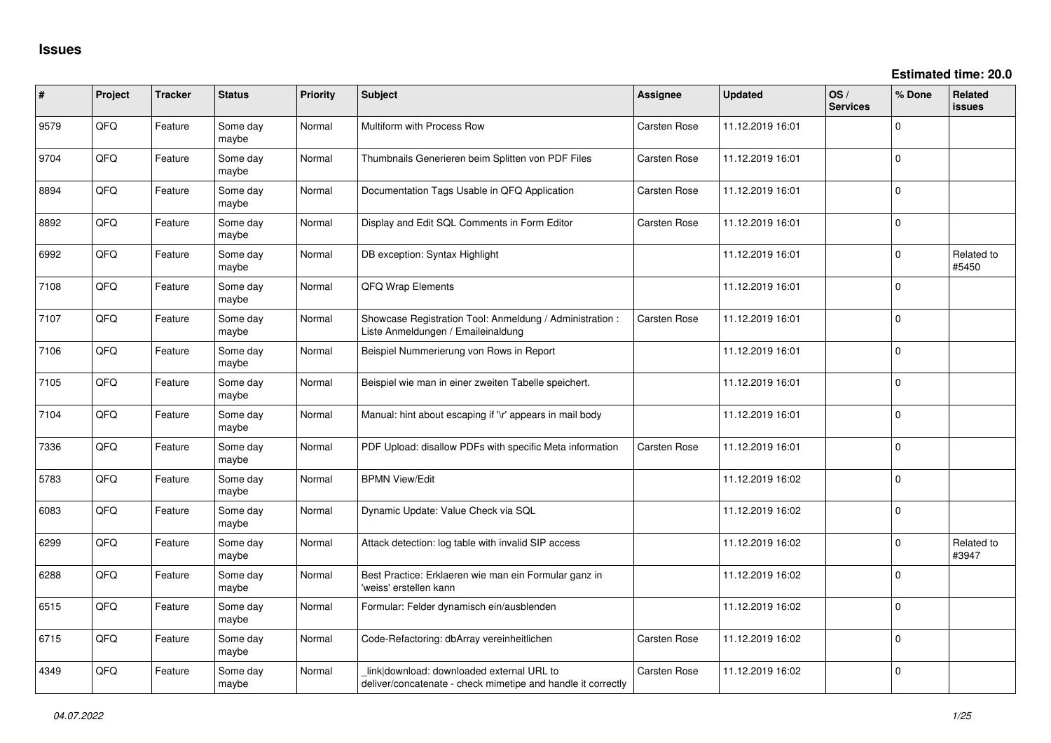| ∦    | Project | <b>Tracker</b> | <b>Status</b>     | Priority | <b>Subject</b>                                                                                            | <b>Assignee</b>     | <b>Updated</b>   | OS/<br><b>Services</b> | % Done      | Related<br><b>issues</b> |
|------|---------|----------------|-------------------|----------|-----------------------------------------------------------------------------------------------------------|---------------------|------------------|------------------------|-------------|--------------------------|
| 9579 | QFQ     | Feature        | Some day<br>maybe | Normal   | Multiform with Process Row                                                                                | Carsten Rose        | 11.12.2019 16:01 |                        | $\Omega$    |                          |
| 9704 | QFQ     | Feature        | Some day<br>maybe | Normal   | Thumbnails Generieren beim Splitten von PDF Files                                                         | Carsten Rose        | 11.12.2019 16:01 |                        | $\mathbf 0$ |                          |
| 8894 | QFQ     | Feature        | Some day<br>maybe | Normal   | Documentation Tags Usable in QFQ Application                                                              | <b>Carsten Rose</b> | 11.12.2019 16:01 |                        | $\Omega$    |                          |
| 8892 | QFQ     | Feature        | Some day<br>maybe | Normal   | Display and Edit SQL Comments in Form Editor                                                              | <b>Carsten Rose</b> | 11.12.2019 16:01 |                        | $\Omega$    |                          |
| 6992 | QFQ     | Feature        | Some day<br>maybe | Normal   | DB exception: Syntax Highlight                                                                            |                     | 11.12.2019 16:01 |                        | $\mathbf 0$ | Related to<br>#5450      |
| 7108 | QFQ     | Feature        | Some day<br>maybe | Normal   | QFQ Wrap Elements                                                                                         |                     | 11.12.2019 16:01 |                        | $\mathbf 0$ |                          |
| 7107 | QFQ     | Feature        | Some day<br>maybe | Normal   | Showcase Registration Tool: Anmeldung / Administration :<br>Liste Anmeldungen / Emaileinaldung            | Carsten Rose        | 11.12.2019 16:01 |                        | $\Omega$    |                          |
| 7106 | QFQ     | Feature        | Some day<br>maybe | Normal   | Beispiel Nummerierung von Rows in Report                                                                  |                     | 11.12.2019 16:01 |                        | 0           |                          |
| 7105 | QFQ     | Feature        | Some day<br>maybe | Normal   | Beispiel wie man in einer zweiten Tabelle speichert.                                                      |                     | 11.12.2019 16:01 |                        | $\Omega$    |                          |
| 7104 | QFQ     | Feature        | Some day<br>maybe | Normal   | Manual: hint about escaping if '\r' appears in mail body                                                  |                     | 11.12.2019 16:01 |                        | $\Omega$    |                          |
| 7336 | QFQ     | Feature        | Some day<br>maybe | Normal   | PDF Upload: disallow PDFs with specific Meta information                                                  | <b>Carsten Rose</b> | 11.12.2019 16:01 |                        | $\Omega$    |                          |
| 5783 | QFQ     | Feature        | Some day<br>maybe | Normal   | <b>BPMN View/Edit</b>                                                                                     |                     | 11.12.2019 16:02 |                        | $\mathbf 0$ |                          |
| 6083 | QFQ     | Feature        | Some day<br>maybe | Normal   | Dynamic Update: Value Check via SQL                                                                       |                     | 11.12.2019 16:02 |                        | 0           |                          |
| 6299 | QFQ     | Feature        | Some day<br>maybe | Normal   | Attack detection: log table with invalid SIP access                                                       |                     | 11.12.2019 16:02 |                        | 0           | Related to<br>#3947      |
| 6288 | QFQ     | Feature        | Some day<br>maybe | Normal   | Best Practice: Erklaeren wie man ein Formular ganz in<br>'weiss' erstellen kann                           |                     | 11.12.2019 16:02 |                        | 0           |                          |
| 6515 | QFQ     | Feature        | Some day<br>maybe | Normal   | Formular: Felder dynamisch ein/ausblenden                                                                 |                     | 11.12.2019 16:02 |                        | $\Omega$    |                          |
| 6715 | QFQ     | Feature        | Some day<br>maybe | Normal   | Code-Refactoring: dbArray vereinheitlichen                                                                | Carsten Rose        | 11.12.2019 16:02 |                        | $\Omega$    |                          |
| 4349 | QFQ     | Feature        | Some day<br>maybe | Normal   | link download: downloaded external URL to<br>deliver/concatenate - check mimetipe and handle it correctly | Carsten Rose        | 11.12.2019 16:02 |                        | 0           |                          |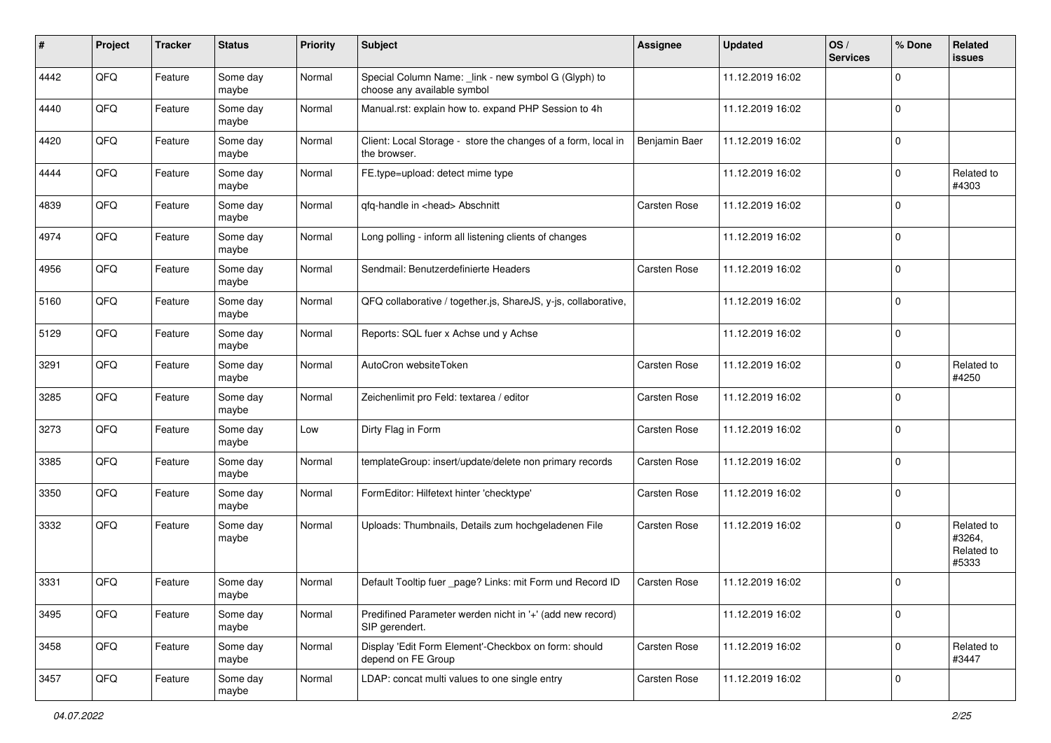| #    | Project | <b>Tracker</b> | <b>Status</b>     | <b>Priority</b> | Subject                                                                             | Assignee      | <b>Updated</b>   | OS/<br><b>Services</b> | % Done      | <b>Related</b><br>issues                    |
|------|---------|----------------|-------------------|-----------------|-------------------------------------------------------------------------------------|---------------|------------------|------------------------|-------------|---------------------------------------------|
| 4442 | QFQ     | Feature        | Some day<br>maybe | Normal          | Special Column Name: _link - new symbol G (Glyph) to<br>choose any available symbol |               | 11.12.2019 16:02 |                        | $\mathbf 0$ |                                             |
| 4440 | QFQ     | Feature        | Some day<br>maybe | Normal          | Manual.rst: explain how to. expand PHP Session to 4h                                |               | 11.12.2019 16:02 |                        | $\mathbf 0$ |                                             |
| 4420 | QFQ     | Feature        | Some day<br>maybe | Normal          | Client: Local Storage - store the changes of a form, local in<br>the browser.       | Benjamin Baer | 11.12.2019 16:02 |                        | $\mathbf 0$ |                                             |
| 4444 | QFQ     | Feature        | Some day<br>maybe | Normal          | FE.type=upload: detect mime type                                                    |               | 11.12.2019 16:02 |                        | $\mathbf 0$ | Related to<br>#4303                         |
| 4839 | QFQ     | Feature        | Some day<br>maybe | Normal          | qfq-handle in <head> Abschnitt</head>                                               | Carsten Rose  | 11.12.2019 16:02 |                        | $\mathbf 0$ |                                             |
| 4974 | QFQ     | Feature        | Some day<br>maybe | Normal          | Long polling - inform all listening clients of changes                              |               | 11.12.2019 16:02 |                        | $\mathbf 0$ |                                             |
| 4956 | QFQ     | Feature        | Some day<br>maybe | Normal          | Sendmail: Benutzerdefinierte Headers                                                | Carsten Rose  | 11.12.2019 16:02 |                        | $\mathbf 0$ |                                             |
| 5160 | QFQ     | Feature        | Some day<br>maybe | Normal          | QFQ collaborative / together.js, ShareJS, y-js, collaborative,                      |               | 11.12.2019 16:02 |                        | $\mathbf 0$ |                                             |
| 5129 | QFQ     | Feature        | Some day<br>maybe | Normal          | Reports: SQL fuer x Achse und y Achse                                               |               | 11.12.2019 16:02 |                        | $\mathbf 0$ |                                             |
| 3291 | QFQ     | Feature        | Some day<br>maybe | Normal          | AutoCron websiteToken                                                               | Carsten Rose  | 11.12.2019 16:02 |                        | $\mathbf 0$ | Related to<br>#4250                         |
| 3285 | QFQ     | Feature        | Some day<br>maybe | Normal          | Zeichenlimit pro Feld: textarea / editor                                            | Carsten Rose  | 11.12.2019 16:02 |                        | $\mathbf 0$ |                                             |
| 3273 | QFQ     | Feature        | Some day<br>maybe | Low             | Dirty Flag in Form                                                                  | Carsten Rose  | 11.12.2019 16:02 |                        | $\mathbf 0$ |                                             |
| 3385 | QFQ     | Feature        | Some day<br>maybe | Normal          | templateGroup: insert/update/delete non primary records                             | Carsten Rose  | 11.12.2019 16:02 |                        | $\mathbf 0$ |                                             |
| 3350 | QFQ     | Feature        | Some day<br>maybe | Normal          | FormEditor: Hilfetext hinter 'checktype'                                            | Carsten Rose  | 11.12.2019 16:02 |                        | $\mathbf 0$ |                                             |
| 3332 | QFQ     | Feature        | Some day<br>maybe | Normal          | Uploads: Thumbnails, Details zum hochgeladenen File                                 | Carsten Rose  | 11.12.2019 16:02 |                        | $\mathbf 0$ | Related to<br>#3264,<br>Related to<br>#5333 |
| 3331 | QFQ     | Feature        | Some day<br>maybe | Normal          | Default Tooltip fuer _page? Links: mit Form und Record ID                           | Carsten Rose  | 11.12.2019 16:02 |                        | $\mathbf 0$ |                                             |
| 3495 | QFQ     | Feature        | Some day<br>maybe | Normal          | Predifined Parameter werden nicht in '+' (add new record)<br>SIP gerendert.         |               | 11.12.2019 16:02 |                        | $\mathbf 0$ |                                             |
| 3458 | QFQ     | Feature        | Some day<br>maybe | Normal          | Display 'Edit Form Element'-Checkbox on form: should<br>depend on FE Group          | Carsten Rose  | 11.12.2019 16:02 |                        | $\mathbf 0$ | Related to<br>#3447                         |
| 3457 | QFQ     | Feature        | Some day<br>maybe | Normal          | LDAP: concat multi values to one single entry                                       | Carsten Rose  | 11.12.2019 16:02 |                        | $\mathbf 0$ |                                             |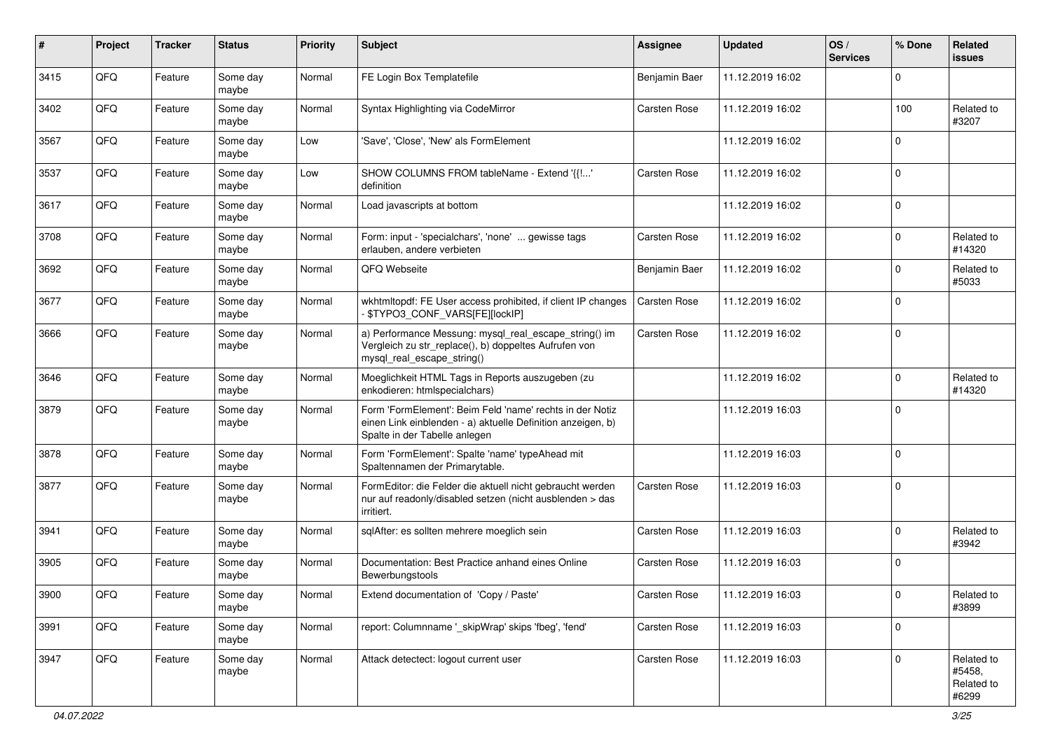| #    | Project | <b>Tracker</b> | <b>Status</b>     | <b>Priority</b> | Subject                                                                                                                                                  | Assignee            | <b>Updated</b>   | OS/<br><b>Services</b> | % Done      | <b>Related</b><br><b>issues</b>             |
|------|---------|----------------|-------------------|-----------------|----------------------------------------------------------------------------------------------------------------------------------------------------------|---------------------|------------------|------------------------|-------------|---------------------------------------------|
| 3415 | QFQ     | Feature        | Some day<br>maybe | Normal          | FE Login Box Templatefile                                                                                                                                | Benjamin Baer       | 11.12.2019 16:02 |                        | $\mathbf 0$ |                                             |
| 3402 | QFQ     | Feature        | Some day<br>maybe | Normal          | Syntax Highlighting via CodeMirror                                                                                                                       | Carsten Rose        | 11.12.2019 16:02 |                        | 100         | Related to<br>#3207                         |
| 3567 | QFQ     | Feature        | Some day<br>maybe | Low             | 'Save', 'Close', 'New' als FormElement                                                                                                                   |                     | 11.12.2019 16:02 |                        | $\mathbf 0$ |                                             |
| 3537 | QFQ     | Feature        | Some day<br>maybe | Low             | SHOW COLUMNS FROM tableName - Extend '{{!'<br>definition                                                                                                 | Carsten Rose        | 11.12.2019 16:02 |                        | $\mathbf 0$ |                                             |
| 3617 | QFQ     | Feature        | Some day<br>maybe | Normal          | Load javascripts at bottom                                                                                                                               |                     | 11.12.2019 16:02 |                        | $\mathbf 0$ |                                             |
| 3708 | QFQ     | Feature        | Some day<br>maybe | Normal          | Form: input - 'specialchars', 'none'  gewisse tags<br>erlauben, andere verbieten                                                                         | Carsten Rose        | 11.12.2019 16:02 |                        | $\Omega$    | Related to<br>#14320                        |
| 3692 | QFQ     | Feature        | Some day<br>maybe | Normal          | QFQ Webseite                                                                                                                                             | Benjamin Baer       | 11.12.2019 16:02 |                        | $\mathbf 0$ | Related to<br>#5033                         |
| 3677 | QFQ     | Feature        | Some day<br>maybe | Normal          | wkhtmltopdf: FE User access prohibited, if client IP changes<br>\$TYPO3_CONF_VARS[FE][lockIP]                                                            | <b>Carsten Rose</b> | 11.12.2019 16:02 |                        | $\mathbf 0$ |                                             |
| 3666 | QFQ     | Feature        | Some day<br>maybe | Normal          | a) Performance Messung: mysql_real_escape_string() im<br>Vergleich zu str_replace(), b) doppeltes Aufrufen von<br>mysql_real_escape_string()             | Carsten Rose        | 11.12.2019 16:02 |                        | $\mathbf 0$ |                                             |
| 3646 | QFQ     | Feature        | Some day<br>maybe | Normal          | Moeglichkeit HTML Tags in Reports auszugeben (zu<br>enkodieren: htmlspecialchars)                                                                        |                     | 11.12.2019 16:02 |                        | $\mathbf 0$ | Related to<br>#14320                        |
| 3879 | QFQ     | Feature        | Some day<br>maybe | Normal          | Form 'FormElement': Beim Feld 'name' rechts in der Notiz<br>einen Link einblenden - a) aktuelle Definition anzeigen, b)<br>Spalte in der Tabelle anlegen |                     | 11.12.2019 16:03 |                        | $\mathbf 0$ |                                             |
| 3878 | QFQ     | Feature        | Some day<br>maybe | Normal          | Form 'FormElement': Spalte 'name' typeAhead mit<br>Spaltennamen der Primarytable.                                                                        |                     | 11.12.2019 16:03 |                        | $\mathbf 0$ |                                             |
| 3877 | QFQ     | Feature        | Some day<br>maybe | Normal          | FormEditor: die Felder die aktuell nicht gebraucht werden<br>nur auf readonly/disabled setzen (nicht ausblenden > das<br>irritiert.                      | Carsten Rose        | 11.12.2019 16:03 |                        | $\mathbf 0$ |                                             |
| 3941 | QFQ     | Feature        | Some day<br>maybe | Normal          | sqlAfter: es sollten mehrere moeglich sein                                                                                                               | Carsten Rose        | 11.12.2019 16:03 |                        | $\Omega$    | Related to<br>#3942                         |
| 3905 | QFQ     | Feature        | Some day<br>maybe | Normal          | Documentation: Best Practice anhand eines Online<br>Bewerbungstools                                                                                      | Carsten Rose        | 11.12.2019 16:03 |                        | $\mathbf 0$ |                                             |
| 3900 | QFQ     | Feature        | Some day<br>maybe | Normal          | Extend documentation of 'Copy / Paste'                                                                                                                   | Carsten Rose        | 11.12.2019 16:03 |                        | $\pmb{0}$   | Related to<br>#3899                         |
| 3991 | QFQ     | Feature        | Some day<br>maybe | Normal          | report: Columnname '_skipWrap' skips 'fbeg', 'fend'                                                                                                      | Carsten Rose        | 11.12.2019 16:03 |                        | $\mathbf 0$ |                                             |
| 3947 | QFQ     | Feature        | Some day<br>maybe | Normal          | Attack detectect: logout current user                                                                                                                    | Carsten Rose        | 11.12.2019 16:03 |                        | $\mathbf 0$ | Related to<br>#5458,<br>Related to<br>#6299 |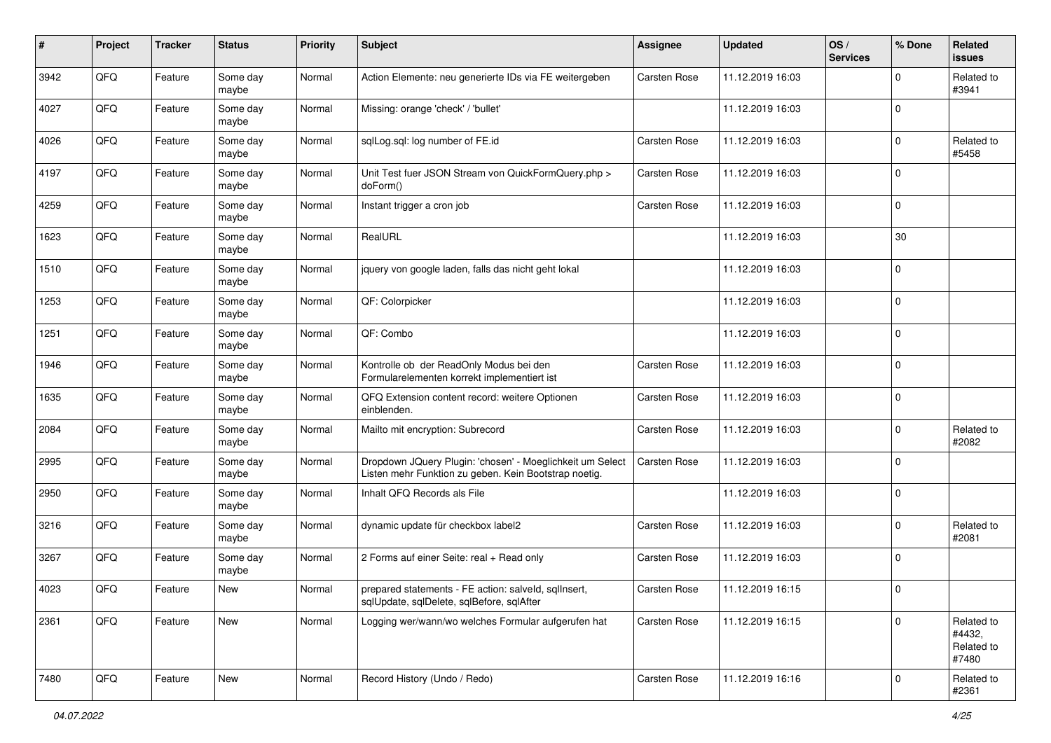| #    | Project | <b>Tracker</b> | <b>Status</b>     | <b>Priority</b> | <b>Subject</b>                                                                                                     | <b>Assignee</b>     | <b>Updated</b>   | OS/<br><b>Services</b> | % Done      | Related<br><b>issues</b>                    |
|------|---------|----------------|-------------------|-----------------|--------------------------------------------------------------------------------------------------------------------|---------------------|------------------|------------------------|-------------|---------------------------------------------|
| 3942 | QFQ     | Feature        | Some day<br>maybe | Normal          | Action Elemente: neu generierte IDs via FE weitergeben                                                             | <b>Carsten Rose</b> | 11.12.2019 16:03 |                        | $\Omega$    | Related to<br>#3941                         |
| 4027 | QFQ     | Feature        | Some day<br>maybe | Normal          | Missing: orange 'check' / 'bullet'                                                                                 |                     | 11.12.2019 16:03 |                        | $\mathbf 0$ |                                             |
| 4026 | QFQ     | Feature        | Some day<br>maybe | Normal          | sqlLog.sql: log number of FE.id                                                                                    | <b>Carsten Rose</b> | 11.12.2019 16:03 |                        | 0           | Related to<br>#5458                         |
| 4197 | QFQ     | Feature        | Some day<br>maybe | Normal          | Unit Test fuer JSON Stream von QuickFormQuery.php ><br>doForm()                                                    | <b>Carsten Rose</b> | 11.12.2019 16:03 |                        | $\mathbf 0$ |                                             |
| 4259 | QFQ     | Feature        | Some day<br>maybe | Normal          | Instant trigger a cron job                                                                                         | <b>Carsten Rose</b> | 11.12.2019 16:03 |                        | $\Omega$    |                                             |
| 1623 | QFQ     | Feature        | Some day<br>maybe | Normal          | RealURL                                                                                                            |                     | 11.12.2019 16:03 |                        | 30          |                                             |
| 1510 | QFQ     | Feature        | Some day<br>maybe | Normal          | jquery von google laden, falls das nicht geht lokal                                                                |                     | 11.12.2019 16:03 |                        | $\Omega$    |                                             |
| 1253 | QFQ     | Feature        | Some day<br>maybe | Normal          | QF: Colorpicker                                                                                                    |                     | 11.12.2019 16:03 |                        | $\mathbf 0$ |                                             |
| 1251 | QFQ     | Feature        | Some day<br>maybe | Normal          | QF: Combo                                                                                                          |                     | 11.12.2019 16:03 |                        | $\mathbf 0$ |                                             |
| 1946 | QFQ     | Feature        | Some day<br>maybe | Normal          | Kontrolle ob der ReadOnly Modus bei den<br>Formularelementen korrekt implementiert ist                             | <b>Carsten Rose</b> | 11.12.2019 16:03 |                        | $\mathbf 0$ |                                             |
| 1635 | QFQ     | Feature        | Some day<br>maybe | Normal          | QFQ Extension content record: weitere Optionen<br>einblenden.                                                      | <b>Carsten Rose</b> | 11.12.2019 16:03 |                        | $\mathbf 0$ |                                             |
| 2084 | QFQ     | Feature        | Some day<br>maybe | Normal          | Mailto mit encryption: Subrecord                                                                                   | <b>Carsten Rose</b> | 11.12.2019 16:03 |                        | $\Omega$    | Related to<br>#2082                         |
| 2995 | QFQ     | Feature        | Some day<br>maybe | Normal          | Dropdown JQuery Plugin: 'chosen' - Moeglichkeit um Select<br>Listen mehr Funktion zu geben. Kein Bootstrap noetig. | Carsten Rose        | 11.12.2019 16:03 |                        | $\Omega$    |                                             |
| 2950 | QFQ     | Feature        | Some day<br>maybe | Normal          | Inhalt QFQ Records als File                                                                                        |                     | 11.12.2019 16:03 |                        | $\Omega$    |                                             |
| 3216 | QFQ     | Feature        | Some day<br>maybe | Normal          | dynamic update für checkbox label2                                                                                 | <b>Carsten Rose</b> | 11.12.2019 16:03 |                        | $\Omega$    | Related to<br>#2081                         |
| 3267 | QFQ     | Feature        | Some day<br>maybe | Normal          | 2 Forms auf einer Seite: real + Read only                                                                          | Carsten Rose        | 11.12.2019 16:03 |                        | l 0         |                                             |
| 4023 | QFQ     | Feature        | <b>New</b>        | Normal          | prepared statements - FE action: salveld, sqllnsert,<br>sqlUpdate, sqlDelete, sqlBefore, sqlAfter                  | <b>Carsten Rose</b> | 11.12.2019 16:15 |                        | l 0         |                                             |
| 2361 | QFQ     | Feature        | New               | Normal          | Logging wer/wann/wo welches Formular aufgerufen hat                                                                | Carsten Rose        | 11.12.2019 16:15 |                        | $\Omega$    | Related to<br>#4432,<br>Related to<br>#7480 |
| 7480 | QFQ     | Feature        | New               | Normal          | Record History (Undo / Redo)                                                                                       | Carsten Rose        | 11.12.2019 16:16 |                        | $\mathbf 0$ | Related to<br>#2361                         |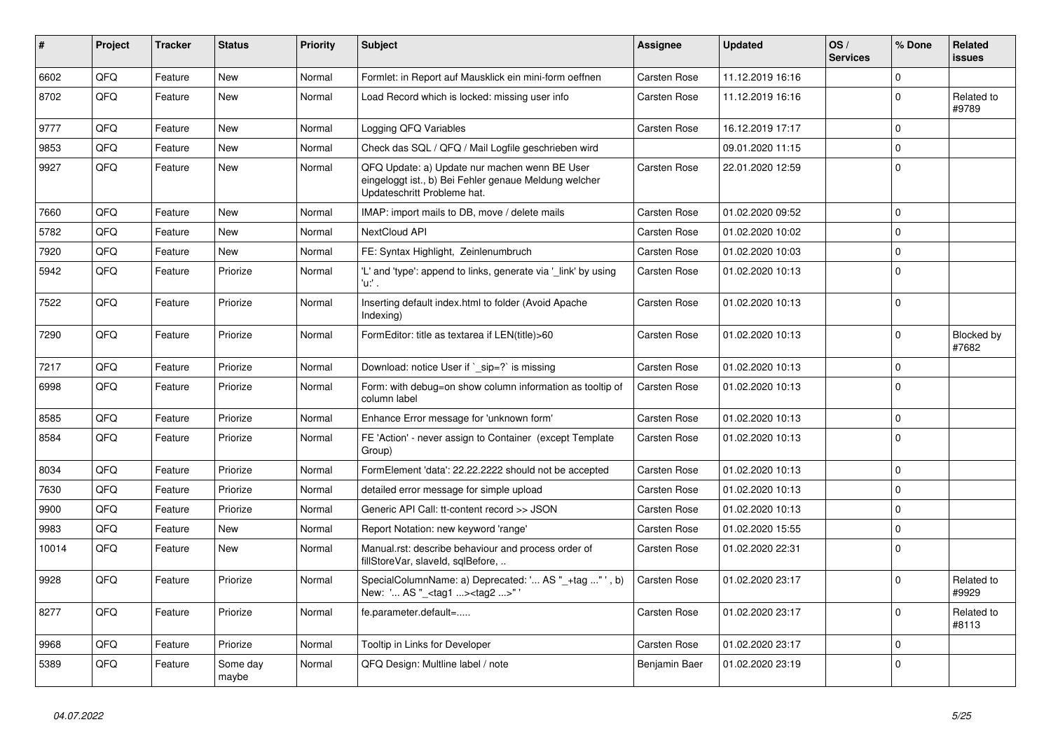| #     | <b>Project</b> | <b>Tracker</b> | <b>Status</b>     | <b>Priority</b> | <b>Subject</b>                                                                                                                        | Assignee            | <b>Updated</b>   | OS/<br><b>Services</b> | % Done      | Related<br><b>issues</b> |
|-------|----------------|----------------|-------------------|-----------------|---------------------------------------------------------------------------------------------------------------------------------------|---------------------|------------------|------------------------|-------------|--------------------------|
| 6602  | QFQ            | Feature        | <b>New</b>        | Normal          | Formlet: in Report auf Mausklick ein mini-form oeffnen                                                                                | Carsten Rose        | 11.12.2019 16:16 |                        | $\Omega$    |                          |
| 8702  | QFQ            | Feature        | <b>New</b>        | Normal          | Load Record which is locked: missing user info                                                                                        | Carsten Rose        | 11.12.2019 16:16 |                        | $\Omega$    | Related to<br>#9789      |
| 9777  | QFQ            | Feature        | <b>New</b>        | Normal          | Logging QFQ Variables                                                                                                                 | <b>Carsten Rose</b> | 16.12.2019 17:17 |                        | $\Omega$    |                          |
| 9853  | QFQ            | Feature        | New               | Normal          | Check das SQL / QFQ / Mail Logfile geschrieben wird                                                                                   |                     | 09.01.2020 11:15 |                        | $\Omega$    |                          |
| 9927  | QFQ            | Feature        | New               | Normal          | QFQ Update: a) Update nur machen wenn BE User<br>eingeloggt ist., b) Bei Fehler genaue Meldung welcher<br>Updateschritt Probleme hat. | Carsten Rose        | 22.01.2020 12:59 |                        | $\Omega$    |                          |
| 7660  | QFQ            | Feature        | <b>New</b>        | Normal          | IMAP: import mails to DB, move / delete mails                                                                                         | Carsten Rose        | 01.02.2020 09:52 |                        | $\Omega$    |                          |
| 5782  | QFQ            | Feature        | New               | Normal          | <b>NextCloud API</b>                                                                                                                  | <b>Carsten Rose</b> | 01.02.2020 10:02 |                        | $\Omega$    |                          |
| 7920  | QFQ            | Feature        | <b>New</b>        | Normal          | FE: Syntax Highlight, Zeinlenumbruch                                                                                                  | <b>Carsten Rose</b> | 01.02.2020 10:03 |                        | $\Omega$    |                          |
| 5942  | QFQ            | Feature        | Priorize          | Normal          | 'L' and 'type': append to links, generate via '_link' by using<br>'u:' .                                                              | Carsten Rose        | 01.02.2020 10:13 |                        | $\Omega$    |                          |
| 7522  | QFQ            | Feature        | Priorize          | Normal          | Inserting default index.html to folder (Avoid Apache<br>Indexing)                                                                     | Carsten Rose        | 01.02.2020 10:13 |                        | $\Omega$    |                          |
| 7290  | QFQ            | Feature        | Priorize          | Normal          | FormEditor: title as textarea if LEN(title)>60                                                                                        | Carsten Rose        | 01.02.2020 10:13 |                        | $\Omega$    | Blocked by<br>#7682      |
| 7217  | QFQ            | Feature        | Priorize          | Normal          | Download: notice User if ` sip=?` is missing                                                                                          | <b>Carsten Rose</b> | 01.02.2020 10:13 |                        | $\Omega$    |                          |
| 6998  | QFQ            | Feature        | Priorize          | Normal          | Form: with debug=on show column information as tooltip of<br>column label                                                             | Carsten Rose        | 01.02.2020 10:13 |                        | $\Omega$    |                          |
| 8585  | QFQ            | Feature        | Priorize          | Normal          | Enhance Error message for 'unknown form'                                                                                              | Carsten Rose        | 01.02.2020 10:13 |                        | $\mathbf 0$ |                          |
| 8584  | QFQ            | Feature        | Priorize          | Normal          | FE 'Action' - never assign to Container (except Template<br>Group)                                                                    | Carsten Rose        | 01.02.2020 10:13 |                        | $\Omega$    |                          |
| 8034  | QFQ            | Feature        | Priorize          | Normal          | FormElement 'data': 22.22.2222 should not be accepted                                                                                 | Carsten Rose        | 01.02.2020 10:13 |                        | $\Omega$    |                          |
| 7630  | QFQ            | Feature        | Priorize          | Normal          | detailed error message for simple upload                                                                                              | Carsten Rose        | 01.02.2020 10:13 |                        | $\Omega$    |                          |
| 9900  | QFQ            | Feature        | Priorize          | Normal          | Generic API Call: tt-content record >> JSON                                                                                           | Carsten Rose        | 01.02.2020 10:13 |                        | $\Omega$    |                          |
| 9983  | QFQ            | Feature        | New               | Normal          | Report Notation: new keyword 'range'                                                                                                  | <b>Carsten Rose</b> | 01.02.2020 15:55 |                        | $\mathbf 0$ |                          |
| 10014 | QFQ            | Feature        | New               | Normal          | Manual.rst: describe behaviour and process order of<br>fillStoreVar, slaveId, sqlBefore,                                              | Carsten Rose        | 01.02.2020 22:31 |                        | $\Omega$    |                          |
| 9928  | QFQ            | Feature        | Priorize          | Normal          | SpecialColumnName: a) Deprecated: ' AS "_+tag " ', b)<br>New: ' AS "_ <tag1><tag2>"</tag2></tag1>                                     | Carsten Rose        | 01.02.2020 23:17 |                        | $\Omega$    | Related to<br>#9929      |
| 8277  | QFQ            | Feature        | Priorize          | Normal          | fe.parameter.default=                                                                                                                 | Carsten Rose        | 01.02.2020 23:17 |                        | $\Omega$    | Related to<br>#8113      |
| 9968  | QFQ            | Feature        | Priorize          | Normal          | Tooltip in Links for Developer                                                                                                        | Carsten Rose        | 01.02.2020 23:17 |                        | $\mathbf 0$ |                          |
| 5389  | QFQ            | Feature        | Some day<br>maybe | Normal          | QFQ Design: Multline label / note                                                                                                     | Benjamin Baer       | 01.02.2020 23:19 |                        | $\Omega$    |                          |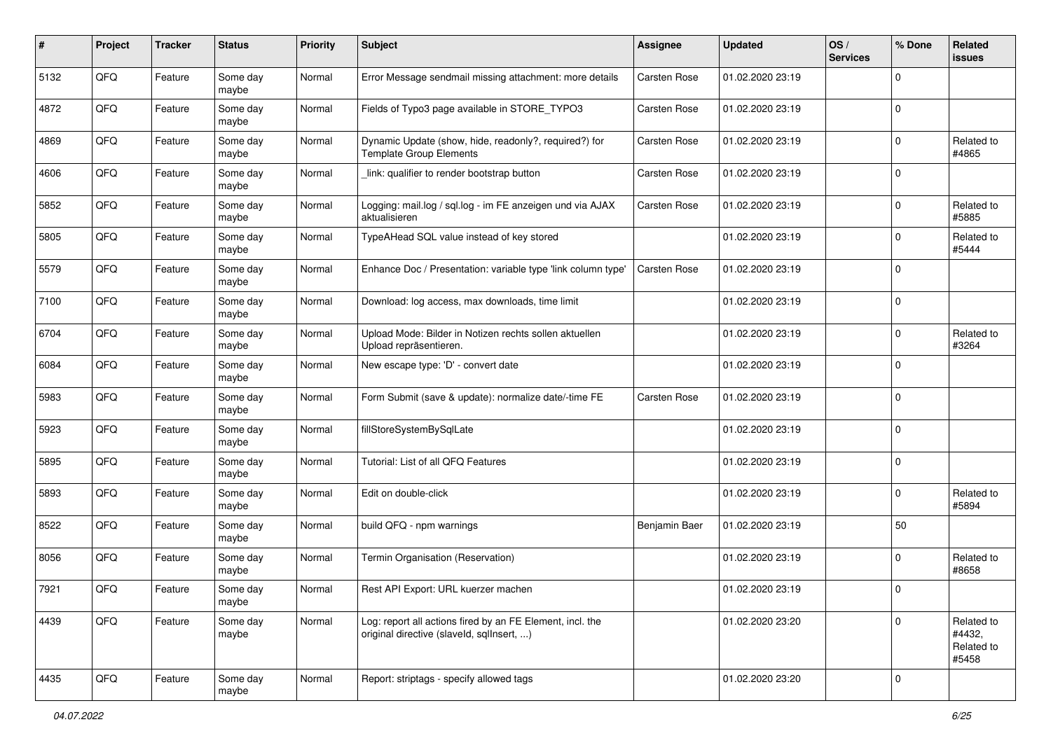| #    | Project | <b>Tracker</b> | <b>Status</b>     | <b>Priority</b> | Subject                                                                                                | <b>Assignee</b> | <b>Updated</b>   | OS/<br><b>Services</b> | % Done      | Related<br><b>issues</b>                    |
|------|---------|----------------|-------------------|-----------------|--------------------------------------------------------------------------------------------------------|-----------------|------------------|------------------------|-------------|---------------------------------------------|
| 5132 | QFQ     | Feature        | Some day<br>maybe | Normal          | Error Message sendmail missing attachment: more details                                                | Carsten Rose    | 01.02.2020 23:19 |                        | $\mathbf 0$ |                                             |
| 4872 | QFQ     | Feature        | Some day<br>maybe | Normal          | Fields of Typo3 page available in STORE_TYPO3                                                          | Carsten Rose    | 01.02.2020 23:19 |                        | $\mathbf 0$ |                                             |
| 4869 | QFQ     | Feature        | Some day<br>maybe | Normal          | Dynamic Update (show, hide, readonly?, required?) for<br><b>Template Group Elements</b>                | Carsten Rose    | 01.02.2020 23:19 |                        | 0           | Related to<br>#4865                         |
| 4606 | QFQ     | Feature        | Some day<br>maybe | Normal          | link: qualifier to render bootstrap button                                                             | Carsten Rose    | 01.02.2020 23:19 |                        | $\mathbf 0$ |                                             |
| 5852 | QFQ     | Feature        | Some day<br>maybe | Normal          | Logging: mail.log / sql.log - im FE anzeigen und via AJAX<br>aktualisieren                             | Carsten Rose    | 01.02.2020 23:19 |                        | $\mathbf 0$ | Related to<br>#5885                         |
| 5805 | QFQ     | Feature        | Some day<br>maybe | Normal          | TypeAHead SQL value instead of key stored                                                              |                 | 01.02.2020 23:19 |                        | $\mathbf 0$ | Related to<br>#5444                         |
| 5579 | QFQ     | Feature        | Some day<br>maybe | Normal          | Enhance Doc / Presentation: variable type 'link column type'                                           | Carsten Rose    | 01.02.2020 23:19 |                        | $\mathbf 0$ |                                             |
| 7100 | QFQ     | Feature        | Some day<br>maybe | Normal          | Download: log access, max downloads, time limit                                                        |                 | 01.02.2020 23:19 |                        | $\mathbf 0$ |                                             |
| 6704 | QFQ     | Feature        | Some day<br>maybe | Normal          | Upload Mode: Bilder in Notizen rechts sollen aktuellen<br>Upload repräsentieren.                       |                 | 01.02.2020 23:19 |                        | $\mathbf 0$ | Related to<br>#3264                         |
| 6084 | QFQ     | Feature        | Some day<br>maybe | Normal          | New escape type: 'D' - convert date                                                                    |                 | 01.02.2020 23:19 |                        | $\mathbf 0$ |                                             |
| 5983 | QFQ     | Feature        | Some day<br>maybe | Normal          | Form Submit (save & update): normalize date/-time FE                                                   | Carsten Rose    | 01.02.2020 23:19 |                        | $\mathbf 0$ |                                             |
| 5923 | QFQ     | Feature        | Some day<br>maybe | Normal          | fillStoreSystemBySqlLate                                                                               |                 | 01.02.2020 23:19 |                        | $\mathbf 0$ |                                             |
| 5895 | QFQ     | Feature        | Some day<br>maybe | Normal          | Tutorial: List of all QFQ Features                                                                     |                 | 01.02.2020 23:19 |                        | $\mathbf 0$ |                                             |
| 5893 | QFQ     | Feature        | Some day<br>maybe | Normal          | Edit on double-click                                                                                   |                 | 01.02.2020 23:19 |                        | $\mathbf 0$ | Related to<br>#5894                         |
| 8522 | QFQ     | Feature        | Some day<br>maybe | Normal          | build QFQ - npm warnings                                                                               | Benjamin Baer   | 01.02.2020 23:19 |                        | 50          |                                             |
| 8056 | QFQ     | Feature        | Some day<br>maybe | Normal          | Termin Organisation (Reservation)                                                                      |                 | 01.02.2020 23:19 |                        | $\mathbf 0$ | Related to<br>#8658                         |
| 7921 | QFQ     | Feature        | Some day<br>maybe | Normal          | Rest API Export: URL kuerzer machen                                                                    |                 | 01.02.2020 23:19 |                        | $\mathbf 0$ |                                             |
| 4439 | QFQ     | Feature        | Some day<br>maybe | Normal          | Log: report all actions fired by an FE Element, incl. the<br>original directive (slaveld, sqllnsert, ) |                 | 01.02.2020 23:20 |                        | $\mathbf 0$ | Related to<br>#4432,<br>Related to<br>#5458 |
| 4435 | QFQ     | Feature        | Some day<br>maybe | Normal          | Report: striptags - specify allowed tags                                                               |                 | 01.02.2020 23:20 |                        | $\mathbf 0$ |                                             |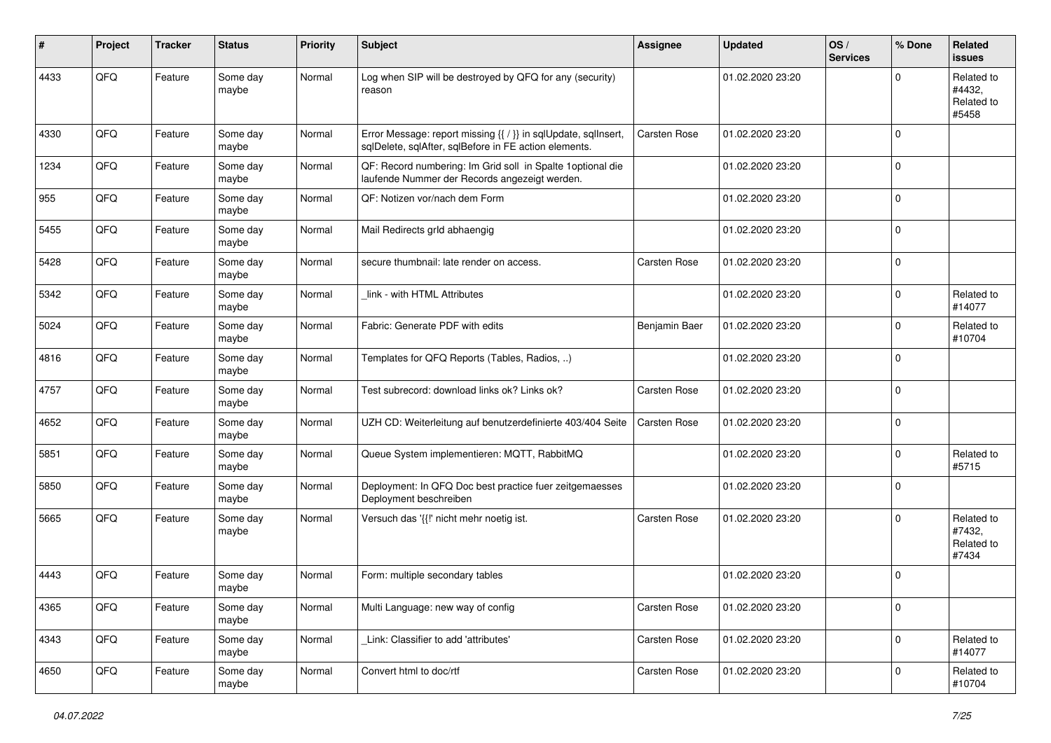| #    | Project | <b>Tracker</b> | <b>Status</b>     | <b>Priority</b> | <b>Subject</b>                                                                                                          | Assignee      | <b>Updated</b>   | OS/<br><b>Services</b> | % Done      | <b>Related</b><br><b>issues</b>             |
|------|---------|----------------|-------------------|-----------------|-------------------------------------------------------------------------------------------------------------------------|---------------|------------------|------------------------|-------------|---------------------------------------------|
| 4433 | QFQ     | Feature        | Some day<br>maybe | Normal          | Log when SIP will be destroyed by QFQ for any (security)<br>reason                                                      |               | 01.02.2020 23:20 |                        | $\mathbf 0$ | Related to<br>#4432,<br>Related to<br>#5458 |
| 4330 | QFQ     | Feature        | Some day<br>maybe | Normal          | Error Message: report missing {{ / }} in sqlUpdate, sqlInsert,<br>sqlDelete, sqlAfter, sqlBefore in FE action elements. | Carsten Rose  | 01.02.2020 23:20 |                        | $\mathbf 0$ |                                             |
| 1234 | QFQ     | Feature        | Some day<br>maybe | Normal          | QF: Record numbering: Im Grid soll in Spalte 1 optional die<br>laufende Nummer der Records angezeigt werden.            |               | 01.02.2020 23:20 |                        | $\mathbf 0$ |                                             |
| 955  | QFQ     | Feature        | Some day<br>maybe | Normal          | QF: Notizen vor/nach dem Form                                                                                           |               | 01.02.2020 23:20 |                        | $\mathbf 0$ |                                             |
| 5455 | QFQ     | Feature        | Some day<br>maybe | Normal          | Mail Redirects grld abhaengig                                                                                           |               | 01.02.2020 23:20 |                        | $\mathbf 0$ |                                             |
| 5428 | QFQ     | Feature        | Some day<br>maybe | Normal          | secure thumbnail: late render on access.                                                                                | Carsten Rose  | 01.02.2020 23:20 |                        | $\mathbf 0$ |                                             |
| 5342 | QFQ     | Feature        | Some day<br>maybe | Normal          | link - with HTML Attributes                                                                                             |               | 01.02.2020 23:20 |                        | 0           | Related to<br>#14077                        |
| 5024 | QFQ     | Feature        | Some day<br>maybe | Normal          | Fabric: Generate PDF with edits                                                                                         | Benjamin Baer | 01.02.2020 23:20 |                        | $\mathbf 0$ | Related to<br>#10704                        |
| 4816 | QFQ     | Feature        | Some day<br>maybe | Normal          | Templates for QFQ Reports (Tables, Radios, )                                                                            |               | 01.02.2020 23:20 |                        | $\mathbf 0$ |                                             |
| 4757 | QFQ     | Feature        | Some day<br>maybe | Normal          | Test subrecord: download links ok? Links ok?                                                                            | Carsten Rose  | 01.02.2020 23:20 |                        | $\mathbf 0$ |                                             |
| 4652 | QFQ     | Feature        | Some day<br>maybe | Normal          | UZH CD: Weiterleitung auf benutzerdefinierte 403/404 Seite                                                              | Carsten Rose  | 01.02.2020 23:20 |                        | $\mathbf 0$ |                                             |
| 5851 | QFQ     | Feature        | Some day<br>maybe | Normal          | Queue System implementieren: MQTT, RabbitMQ                                                                             |               | 01.02.2020 23:20 |                        | $\mathbf 0$ | Related to<br>#5715                         |
| 5850 | QFQ     | Feature        | Some day<br>maybe | Normal          | Deployment: In QFQ Doc best practice fuer zeitgemaesses<br>Deployment beschreiben                                       |               | 01.02.2020 23:20 |                        | $\mathbf 0$ |                                             |
| 5665 | QFQ     | Feature        | Some day<br>maybe | Normal          | Versuch das '{{!' nicht mehr noetig ist.                                                                                | Carsten Rose  | 01.02.2020 23:20 |                        | $\mathbf 0$ | Related to<br>#7432,<br>Related to<br>#7434 |
| 4443 | QFQ     | Feature        | Some day<br>maybe | Normal          | Form: multiple secondary tables                                                                                         |               | 01.02.2020 23:20 |                        | $\mathbf 0$ |                                             |
| 4365 | QFQ     | Feature        | Some day<br>maybe | Normal          | Multi Language: new way of config                                                                                       | Carsten Rose  | 01.02.2020 23:20 |                        | $\mathsf 0$ |                                             |
| 4343 | QFQ     | Feature        | Some day<br>maybe | Normal          | Link: Classifier to add 'attributes'                                                                                    | Carsten Rose  | 01.02.2020 23:20 |                        | $\mathbf 0$ | Related to<br>#14077                        |
| 4650 | QFQ     | Feature        | Some day<br>maybe | Normal          | Convert html to doc/rtf                                                                                                 | Carsten Rose  | 01.02.2020 23:20 |                        | $\mathbf 0$ | Related to<br>#10704                        |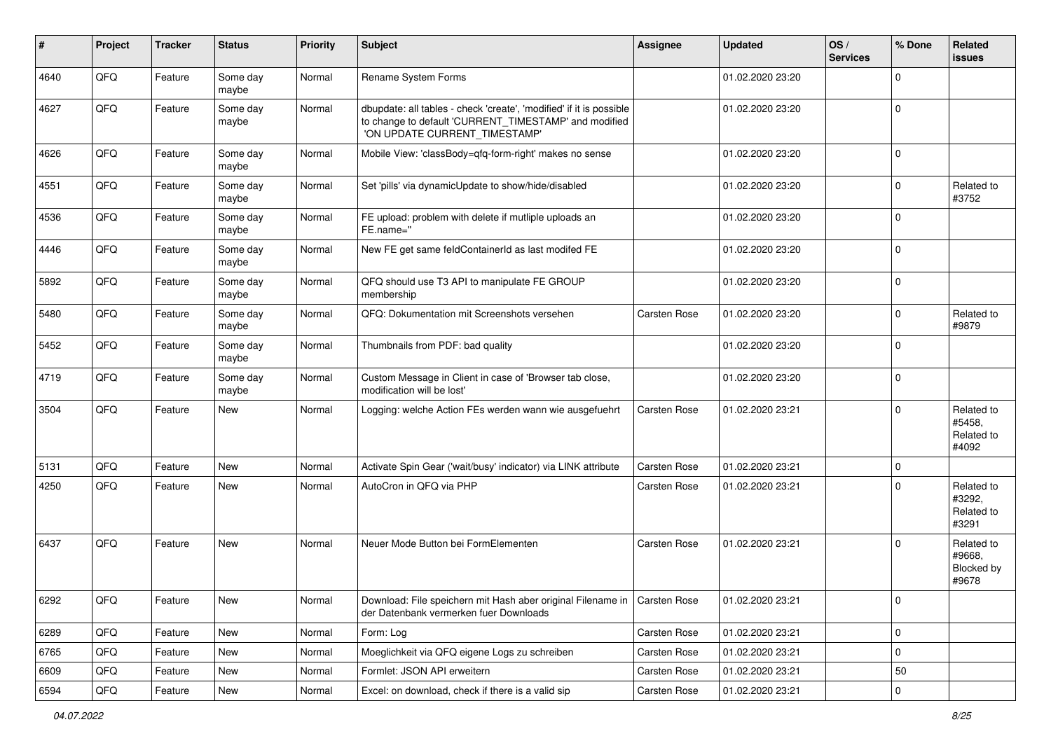| #    | Project        | <b>Tracker</b> | <b>Status</b>     | <b>Priority</b> | Subject                                                                                                                                                       | <b>Assignee</b> | <b>Updated</b>   | OS/<br><b>Services</b> | % Done              | <b>Related</b><br>issues                    |
|------|----------------|----------------|-------------------|-----------------|---------------------------------------------------------------------------------------------------------------------------------------------------------------|-----------------|------------------|------------------------|---------------------|---------------------------------------------|
| 4640 | QFQ            | Feature        | Some day<br>maybe | Normal          | Rename System Forms                                                                                                                                           |                 | 01.02.2020 23:20 |                        | $\mathbf 0$         |                                             |
| 4627 | QFQ            | Feature        | Some day<br>maybe | Normal          | dbupdate: all tables - check 'create', 'modified' if it is possible<br>to change to default 'CURRENT TIMESTAMP' and modified<br>'ON UPDATE CURRENT_TIMESTAMP' |                 | 01.02.2020 23:20 |                        | $\mathbf 0$         |                                             |
| 4626 | QFQ            | Feature        | Some day<br>maybe | Normal          | Mobile View: 'classBody=qfq-form-right' makes no sense                                                                                                        |                 | 01.02.2020 23:20 |                        | $\mathbf 0$         |                                             |
| 4551 | QFQ            | Feature        | Some day<br>maybe | Normal          | Set 'pills' via dynamicUpdate to show/hide/disabled                                                                                                           |                 | 01.02.2020 23:20 |                        | 0                   | Related to<br>#3752                         |
| 4536 | QFQ            | Feature        | Some day<br>maybe | Normal          | FE upload: problem with delete if mutliple uploads an<br>FE.name="                                                                                            |                 | 01.02.2020 23:20 |                        | $\mathbf 0$         |                                             |
| 4446 | QFQ            | Feature        | Some day<br>maybe | Normal          | New FE get same feldContainerId as last modifed FE                                                                                                            |                 | 01.02.2020 23:20 |                        | $\mathbf 0$         |                                             |
| 5892 | QFQ            | Feature        | Some day<br>maybe | Normal          | QFQ should use T3 API to manipulate FE GROUP<br>membership                                                                                                    |                 | 01.02.2020 23:20 |                        | $\mathbf 0$         |                                             |
| 5480 | QFQ            | Feature        | Some day<br>maybe | Normal          | QFQ: Dokumentation mit Screenshots versehen                                                                                                                   | Carsten Rose    | 01.02.2020 23:20 |                        | $\mathbf 0$         | Related to<br>#9879                         |
| 5452 | QFQ            | Feature        | Some day<br>maybe | Normal          | Thumbnails from PDF: bad quality                                                                                                                              |                 | 01.02.2020 23:20 |                        | $\mathbf 0$         |                                             |
| 4719 | QFQ            | Feature        | Some day<br>maybe | Normal          | Custom Message in Client in case of 'Browser tab close,<br>modification will be lost'                                                                         |                 | 01.02.2020 23:20 |                        | $\pmb{0}$           |                                             |
| 3504 | QFQ            | Feature        | New               | Normal          | Logging: welche Action FEs werden wann wie ausgefuehrt                                                                                                        | Carsten Rose    | 01.02.2020 23:21 |                        | $\mathbf 0$         | Related to<br>#5458,<br>Related to<br>#4092 |
| 5131 | QFQ            | Feature        | New               | Normal          | Activate Spin Gear ('wait/busy' indicator) via LINK attribute                                                                                                 | Carsten Rose    | 01.02.2020 23:21 |                        | $\mathbf 0$         |                                             |
| 4250 | QFQ            | Feature        | New               | Normal          | AutoCron in QFQ via PHP                                                                                                                                       | Carsten Rose    | 01.02.2020 23:21 |                        | $\mathbf 0$         | Related to<br>#3292,<br>Related to<br>#3291 |
| 6437 | QFQ            | Feature        | New               | Normal          | Neuer Mode Button bei FormElementen                                                                                                                           | Carsten Rose    | 01.02.2020 23:21 |                        | $\mathbf 0$         | Related to<br>#9668,<br>Blocked by<br>#9678 |
| 6292 | QFQ            | Feature        | New               | Normal          | Download: File speichern mit Hash aber original Filename in   Carsten Rose<br>der Datenbank vermerken fuer Downloads                                          |                 | 01.02.2020 23:21 |                        | 0                   |                                             |
| 6289 | QFQ            | Feature        | New               | Normal          | Form: Log                                                                                                                                                     | Carsten Rose    | 01.02.2020 23:21 |                        | $\mathsf{O}\xspace$ |                                             |
| 6765 | QFQ            | Feature        | New               | Normal          | Moeglichkeit via QFQ eigene Logs zu schreiben                                                                                                                 | Carsten Rose    | 01.02.2020 23:21 |                        | $\mathbf 0$         |                                             |
| 6609 | QFQ            | Feature        | New               | Normal          | Formlet: JSON API erweitern                                                                                                                                   | Carsten Rose    | 01.02.2020 23:21 |                        | 50                  |                                             |
| 6594 | $\mathsf{QFQ}$ | Feature        | New               | Normal          | Excel: on download, check if there is a valid sip                                                                                                             | Carsten Rose    | 01.02.2020 23:21 |                        | $\pmb{0}$           |                                             |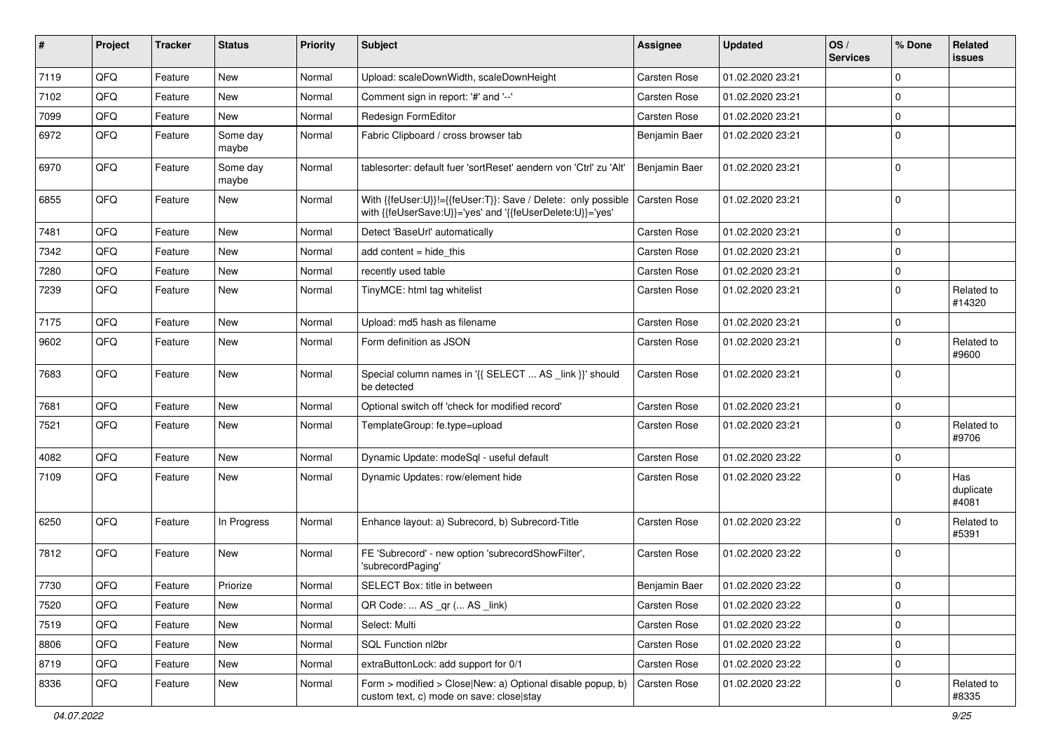| #    | Project | <b>Tracker</b> | <b>Status</b>     | <b>Priority</b> | <b>Subject</b>                                                                                                             | Assignee            | <b>Updated</b>   | OS/<br><b>Services</b> | % Done      | Related<br><b>issues</b>  |
|------|---------|----------------|-------------------|-----------------|----------------------------------------------------------------------------------------------------------------------------|---------------------|------------------|------------------------|-------------|---------------------------|
| 7119 | QFQ     | Feature        | New               | Normal          | Upload: scaleDownWidth, scaleDownHeight                                                                                    | Carsten Rose        | 01.02.2020 23:21 |                        | $\Omega$    |                           |
| 7102 | QFQ     | Feature        | <b>New</b>        | Normal          | Comment sign in report: '#' and '--'                                                                                       | Carsten Rose        | 01.02.2020 23:21 |                        | $\Omega$    |                           |
| 7099 | QFQ     | Feature        | New               | Normal          | Redesign FormEditor                                                                                                        | Carsten Rose        | 01.02.2020 23:21 |                        | $\mathbf 0$ |                           |
| 6972 | QFQ     | Feature        | Some day<br>maybe | Normal          | Fabric Clipboard / cross browser tab                                                                                       | Benjamin Baer       | 01.02.2020 23:21 |                        | $\mathbf 0$ |                           |
| 6970 | QFQ     | Feature        | Some day<br>maybe | Normal          | tablesorter: default fuer 'sortReset' aendern von 'Ctrl' zu 'Alt'                                                          | Benjamin Baer       | 01.02.2020 23:21 |                        | $\Omega$    |                           |
| 6855 | QFQ     | Feature        | New               | Normal          | With {{feUser:U}}!={{feUser:T}}: Save / Delete: only possible<br>with {{feUserSave:U}}='yes' and '{{feUserDelete:U}}='yes' | <b>Carsten Rose</b> | 01.02.2020 23:21 |                        | $\Omega$    |                           |
| 7481 | QFQ     | Feature        | <b>New</b>        | Normal          | Detect 'BaseUrl' automatically                                                                                             | Carsten Rose        | 01.02.2020 23:21 |                        | $\mathbf 0$ |                           |
| 7342 | QFQ     | Feature        | New               | Normal          | add content $=$ hide this                                                                                                  | Carsten Rose        | 01.02.2020 23:21 |                        | $\Omega$    |                           |
| 7280 | QFQ     | Feature        | <b>New</b>        | Normal          | recently used table                                                                                                        | Carsten Rose        | 01.02.2020 23:21 |                        | $\mathbf 0$ |                           |
| 7239 | QFQ     | Feature        | New               | Normal          | TinyMCE: html tag whitelist                                                                                                | Carsten Rose        | 01.02.2020 23:21 |                        | $\Omega$    | Related to<br>#14320      |
| 7175 | QFQ     | Feature        | New               | Normal          | Upload: md5 hash as filename                                                                                               | Carsten Rose        | 01.02.2020 23:21 |                        | $\mathbf 0$ |                           |
| 9602 | QFQ     | Feature        | New               | Normal          | Form definition as JSON                                                                                                    | Carsten Rose        | 01.02.2020 23:21 |                        | $\Omega$    | Related to<br>#9600       |
| 7683 | QFQ     | Feature        | New               | Normal          | Special column names in '{{ SELECT  AS _link }}' should<br>be detected                                                     | Carsten Rose        | 01.02.2020 23:21 |                        | $\Omega$    |                           |
| 7681 | QFQ     | Feature        | New               | Normal          | Optional switch off 'check for modified record'                                                                            | Carsten Rose        | 01.02.2020 23:21 |                        | $\mathbf 0$ |                           |
| 7521 | QFQ     | Feature        | New               | Normal          | TemplateGroup: fe.type=upload                                                                                              | Carsten Rose        | 01.02.2020 23:21 |                        | $\Omega$    | Related to<br>#9706       |
| 4082 | QFQ     | Feature        | <b>New</b>        | Normal          | Dynamic Update: modeSql - useful default                                                                                   | Carsten Rose        | 01.02.2020 23:22 |                        | 0           |                           |
| 7109 | QFQ     | Feature        | New               | Normal          | Dynamic Updates: row/element hide                                                                                          | Carsten Rose        | 01.02.2020 23:22 |                        | $\Omega$    | Has<br>duplicate<br>#4081 |
| 6250 | QFQ     | Feature        | In Progress       | Normal          | Enhance layout: a) Subrecord, b) Subrecord-Title                                                                           | Carsten Rose        | 01.02.2020 23:22 |                        | $\Omega$    | Related to<br>#5391       |
| 7812 | QFQ     | Feature        | New               | Normal          | FE 'Subrecord' - new option 'subrecordShowFilter',<br>'subrecordPaging'                                                    | Carsten Rose        | 01.02.2020 23:22 |                        | $\Omega$    |                           |
| 7730 | QFQ     | Feature        | Priorize          | Normal          | SELECT Box: title in between                                                                                               | Benjamin Baer       | 01.02.2020 23:22 |                        | $\mathbf 0$ |                           |
| 7520 | QFQ     | Feature        | New               | Normal          | QR Code:  AS _qr ( AS _link)                                                                                               | Carsten Rose        | 01.02.2020 23:22 |                        | $\mathbf 0$ |                           |
| 7519 | QFQ     | Feature        | New               | Normal          | Select: Multi                                                                                                              | Carsten Rose        | 01.02.2020 23:22 |                        | $\mathbf 0$ |                           |
| 8806 | QFQ     | Feature        | New               | Normal          | SQL Function nl2br                                                                                                         | Carsten Rose        | 01.02.2020 23:22 |                        | 0           |                           |
| 8719 | QFQ     | Feature        | New               | Normal          | extraButtonLock: add support for 0/1                                                                                       | Carsten Rose        | 01.02.2020 23:22 |                        | $\mathbf 0$ |                           |
| 8336 | QFQ     | Feature        | New               | Normal          | Form > modified > Close New: a) Optional disable popup, b)<br>custom text, c) mode on save: close stay                     | Carsten Rose        | 01.02.2020 23:22 |                        | 0           | Related to<br>#8335       |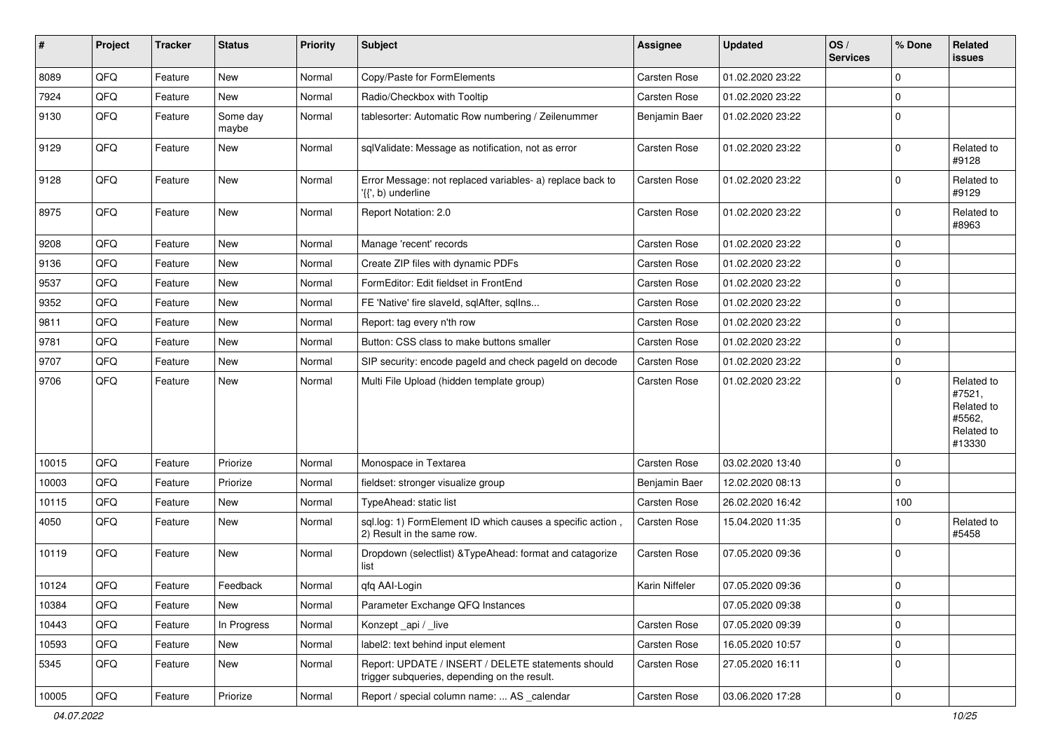| $\sharp$ | Project | <b>Tracker</b> | <b>Status</b>     | <b>Priority</b> | Subject                                                                                            | Assignee       | <b>Updated</b>   | OS/<br><b>Services</b> | % Done              | <b>Related</b><br><b>issues</b>                                      |
|----------|---------|----------------|-------------------|-----------------|----------------------------------------------------------------------------------------------------|----------------|------------------|------------------------|---------------------|----------------------------------------------------------------------|
| 8089     | QFQ     | Feature        | New               | Normal          | Copy/Paste for FormElements                                                                        | Carsten Rose   | 01.02.2020 23:22 |                        | $\mathbf 0$         |                                                                      |
| 7924     | QFQ     | Feature        | New               | Normal          | Radio/Checkbox with Tooltip                                                                        | Carsten Rose   | 01.02.2020 23:22 |                        | $\mathbf 0$         |                                                                      |
| 9130     | QFQ     | Feature        | Some day<br>maybe | Normal          | tablesorter: Automatic Row numbering / Zeilenummer                                                 | Benjamin Baer  | 01.02.2020 23:22 |                        | $\mathbf 0$         |                                                                      |
| 9129     | QFQ     | Feature        | New               | Normal          | sqlValidate: Message as notification, not as error                                                 | Carsten Rose   | 01.02.2020 23:22 |                        | $\mathbf 0$         | Related to<br>#9128                                                  |
| 9128     | QFQ     | Feature        | New               | Normal          | Error Message: not replaced variables- a) replace back to<br>'{{', b) underline                    | Carsten Rose   | 01.02.2020 23:22 |                        | $\mathbf 0$         | Related to<br>#9129                                                  |
| 8975     | QFQ     | Feature        | New               | Normal          | Report Notation: 2.0                                                                               | Carsten Rose   | 01.02.2020 23:22 |                        | $\mathbf 0$         | Related to<br>#8963                                                  |
| 9208     | QFQ     | Feature        | New               | Normal          | Manage 'recent' records                                                                            | Carsten Rose   | 01.02.2020 23:22 |                        | $\mathbf 0$         |                                                                      |
| 9136     | QFQ     | Feature        | New               | Normal          | Create ZIP files with dynamic PDFs                                                                 | Carsten Rose   | 01.02.2020 23:22 |                        | $\mathbf 0$         |                                                                      |
| 9537     | QFQ     | Feature        | New               | Normal          | FormEditor: Edit fieldset in FrontEnd                                                              | Carsten Rose   | 01.02.2020 23:22 |                        | $\mathbf 0$         |                                                                      |
| 9352     | QFQ     | Feature        | New               | Normal          | FE 'Native' fire slaveld, sqlAfter, sqlIns                                                         | Carsten Rose   | 01.02.2020 23:22 |                        | $\mathbf 0$         |                                                                      |
| 9811     | QFQ     | Feature        | New               | Normal          | Report: tag every n'th row                                                                         | Carsten Rose   | 01.02.2020 23:22 |                        | $\mathbf 0$         |                                                                      |
| 9781     | QFQ     | Feature        | New               | Normal          | Button: CSS class to make buttons smaller                                                          | Carsten Rose   | 01.02.2020 23:22 |                        | $\mathbf 0$         |                                                                      |
| 9707     | QFQ     | Feature        | New               | Normal          | SIP security: encode pageld and check pageld on decode                                             | Carsten Rose   | 01.02.2020 23:22 |                        | $\mathbf 0$         |                                                                      |
| 9706     | QFQ     | Feature        | New               | Normal          | Multi File Upload (hidden template group)                                                          | Carsten Rose   | 01.02.2020 23:22 |                        | $\mathbf 0$         | Related to<br>#7521,<br>Related to<br>#5562,<br>Related to<br>#13330 |
| 10015    | QFQ     | Feature        | Priorize          | Normal          | Monospace in Textarea                                                                              | Carsten Rose   | 03.02.2020 13:40 |                        | $\mathbf 0$         |                                                                      |
| 10003    | QFQ     | Feature        | Priorize          | Normal          | fieldset: stronger visualize group                                                                 | Benjamin Baer  | 12.02.2020 08:13 |                        | $\mathbf 0$         |                                                                      |
| 10115    | QFQ     | Feature        | New               | Normal          | TypeAhead: static list                                                                             | Carsten Rose   | 26.02.2020 16:42 |                        | 100                 |                                                                      |
| 4050     | QFQ     | Feature        | New               | Normal          | sql.log: 1) FormElement ID which causes a specific action,<br>2) Result in the same row.           | Carsten Rose   | 15.04.2020 11:35 |                        | $\mathbf 0$         | Related to<br>#5458                                                  |
| 10119    | QFQ     | Feature        | New               | Normal          | Dropdown (selectlist) & TypeAhead: format and catagorize<br>list                                   | Carsten Rose   | 07.05.2020 09:36 |                        | $\mathbf 0$         |                                                                      |
| 10124    | QFQ     | Feature        | Feedback          | Normal          | qfq AAI-Login                                                                                      | Karin Niffeler | 07.05.2020 09:36 |                        | $\mathbf 0$         |                                                                      |
| 10384    | QFQ     | Feature        | New               | Normal          | Parameter Exchange QFQ Instances                                                                   |                | 07.05.2020 09:38 |                        | $\mathbf 0$         |                                                                      |
| 10443    | QFQ     | Feature        | In Progress       | Normal          | Konzept_api / _live                                                                                | Carsten Rose   | 07.05.2020 09:39 |                        | $\mathbf 0$         |                                                                      |
| 10593    | QFQ     | Feature        | New               | Normal          | label2: text behind input element                                                                  | Carsten Rose   | 16.05.2020 10:57 |                        | $\mathbf 0$         |                                                                      |
| 5345     | QFQ     | Feature        | New               | Normal          | Report: UPDATE / INSERT / DELETE statements should<br>trigger subqueries, depending on the result. | Carsten Rose   | 27.05.2020 16:11 |                        | $\mathbf 0$         |                                                                      |
| 10005    | QFQ     | Feature        | Priorize          | Normal          | Report / special column name:  AS _calendar                                                        | Carsten Rose   | 03.06.2020 17:28 |                        | $\mathsf{O}\xspace$ |                                                                      |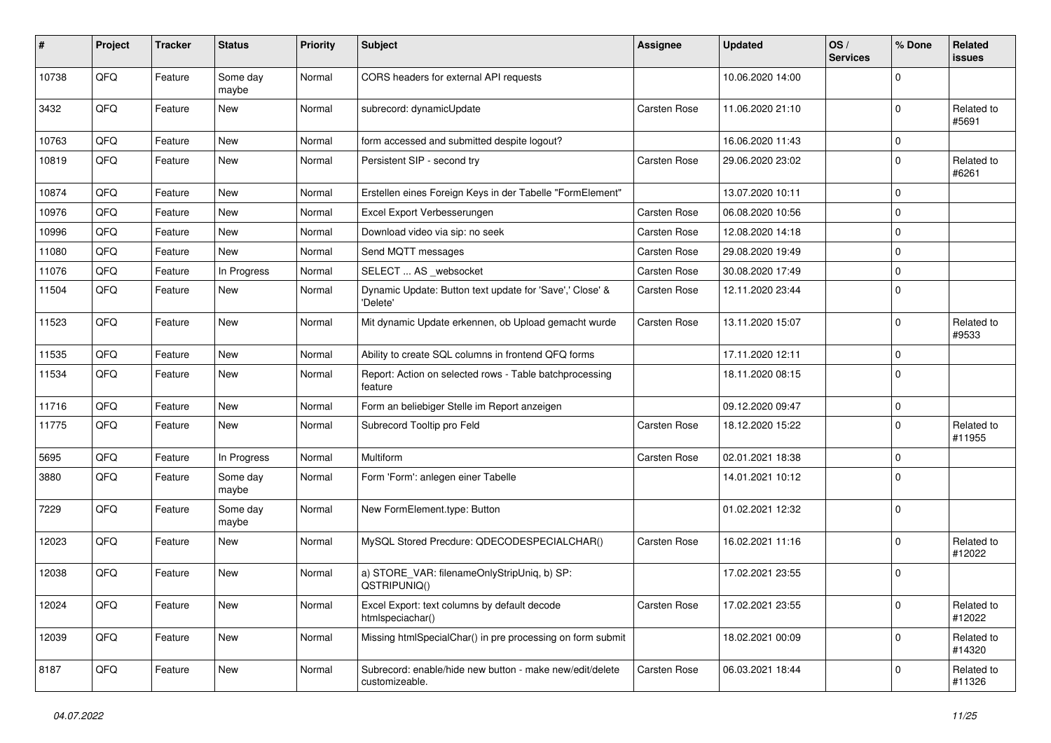| #     | Project | <b>Tracker</b> | <b>Status</b>     | <b>Priority</b> | <b>Subject</b>                                                             | <b>Assignee</b>     | <b>Updated</b>   | OS/<br><b>Services</b> | % Done      | Related<br><b>issues</b> |
|-------|---------|----------------|-------------------|-----------------|----------------------------------------------------------------------------|---------------------|------------------|------------------------|-------------|--------------------------|
| 10738 | QFQ     | Feature        | Some day<br>maybe | Normal          | CORS headers for external API requests                                     |                     | 10.06.2020 14:00 |                        | $\Omega$    |                          |
| 3432  | QFQ     | Feature        | New               | Normal          | subrecord: dynamicUpdate                                                   | Carsten Rose        | 11.06.2020 21:10 |                        | $\mathbf 0$ | Related to<br>#5691      |
| 10763 | QFQ     | Feature        | New               | Normal          | form accessed and submitted despite logout?                                |                     | 16.06.2020 11:43 |                        | 0           |                          |
| 10819 | QFQ     | Feature        | New               | Normal          | Persistent SIP - second try                                                | <b>Carsten Rose</b> | 29.06.2020 23:02 |                        | $\Omega$    | Related to<br>#6261      |
| 10874 | QFQ     | Feature        | New               | Normal          | Erstellen eines Foreign Keys in der Tabelle "FormElement"                  |                     | 13.07.2020 10:11 |                        | $\Omega$    |                          |
| 10976 | QFQ     | Feature        | New               | Normal          | Excel Export Verbesserungen                                                | Carsten Rose        | 06.08.2020 10:56 |                        | $\Omega$    |                          |
| 10996 | QFQ     | Feature        | New               | Normal          | Download video via sip: no seek                                            | <b>Carsten Rose</b> | 12.08.2020 14:18 |                        | $\Omega$    |                          |
| 11080 | QFQ     | Feature        | New               | Normal          | Send MQTT messages                                                         | Carsten Rose        | 29.08.2020 19:49 |                        | $\Omega$    |                          |
| 11076 | QFQ     | Feature        | In Progress       | Normal          | SELECT  AS _websocket                                                      | <b>Carsten Rose</b> | 30.08.2020 17:49 |                        | $\mathbf 0$ |                          |
| 11504 | QFQ     | Feature        | New               | Normal          | Dynamic Update: Button text update for 'Save',' Close' &<br>'Delete'       | Carsten Rose        | 12.11.2020 23:44 |                        | $\Omega$    |                          |
| 11523 | QFQ     | Feature        | New               | Normal          | Mit dynamic Update erkennen, ob Upload gemacht wurde                       | Carsten Rose        | 13.11.2020 15:07 |                        | $\Omega$    | Related to<br>#9533      |
| 11535 | QFQ     | Feature        | New               | Normal          | Ability to create SQL columns in frontend QFQ forms                        |                     | 17.11.2020 12:11 |                        | $\mathbf 0$ |                          |
| 11534 | QFQ     | Feature        | New               | Normal          | Report: Action on selected rows - Table batchprocessing<br>feature         |                     | 18.11.2020 08:15 |                        | $\Omega$    |                          |
| 11716 | QFQ     | Feature        | <b>New</b>        | Normal          | Form an beliebiger Stelle im Report anzeigen                               |                     | 09.12.2020 09:47 |                        | $\mathbf 0$ |                          |
| 11775 | QFQ     | Feature        | New               | Normal          | Subrecord Tooltip pro Feld                                                 | <b>Carsten Rose</b> | 18.12.2020 15:22 |                        | $\Omega$    | Related to<br>#11955     |
| 5695  | QFQ     | Feature        | In Progress       | Normal          | Multiform                                                                  | Carsten Rose        | 02.01.2021 18:38 |                        | $\mathbf 0$ |                          |
| 3880  | QFQ     | Feature        | Some day<br>maybe | Normal          | Form 'Form': anlegen einer Tabelle                                         |                     | 14.01.2021 10:12 |                        | $\Omega$    |                          |
| 7229  | QFQ     | Feature        | Some day<br>maybe | Normal          | New FormElement.type: Button                                               |                     | 01.02.2021 12:32 |                        | $\mathbf 0$ |                          |
| 12023 | QFQ     | Feature        | New               | Normal          | MySQL Stored Precdure: QDECODESPECIALCHAR()                                | <b>Carsten Rose</b> | 16.02.2021 11:16 |                        | $\Omega$    | Related to<br>#12022     |
| 12038 | QFQ     | Feature        | New               | Normal          | a) STORE_VAR: filenameOnlyStripUniq, b) SP:<br>QSTRIPUNIQ()                |                     | 17.02.2021 23:55 |                        | $\mathbf 0$ |                          |
| 12024 | QFO     | Feature        | New               | Normal          | Excel Export: text columns by default decode<br>htmlspeciachar()           | Carsten Rose        | 17.02.2021 23:55 |                        | $\mathbf 0$ | Related to<br>#12022     |
| 12039 | QFG     | Feature        | New               | Normal          | Missing htmlSpecialChar() in pre processing on form submit                 |                     | 18.02.2021 00:09 |                        | $\mathbf 0$ | Related to<br>#14320     |
| 8187  | QFQ     | Feature        | New               | Normal          | Subrecord: enable/hide new button - make new/edit/delete<br>customizeable. | <b>Carsten Rose</b> | 06.03.2021 18:44 |                        | 0           | Related to<br>#11326     |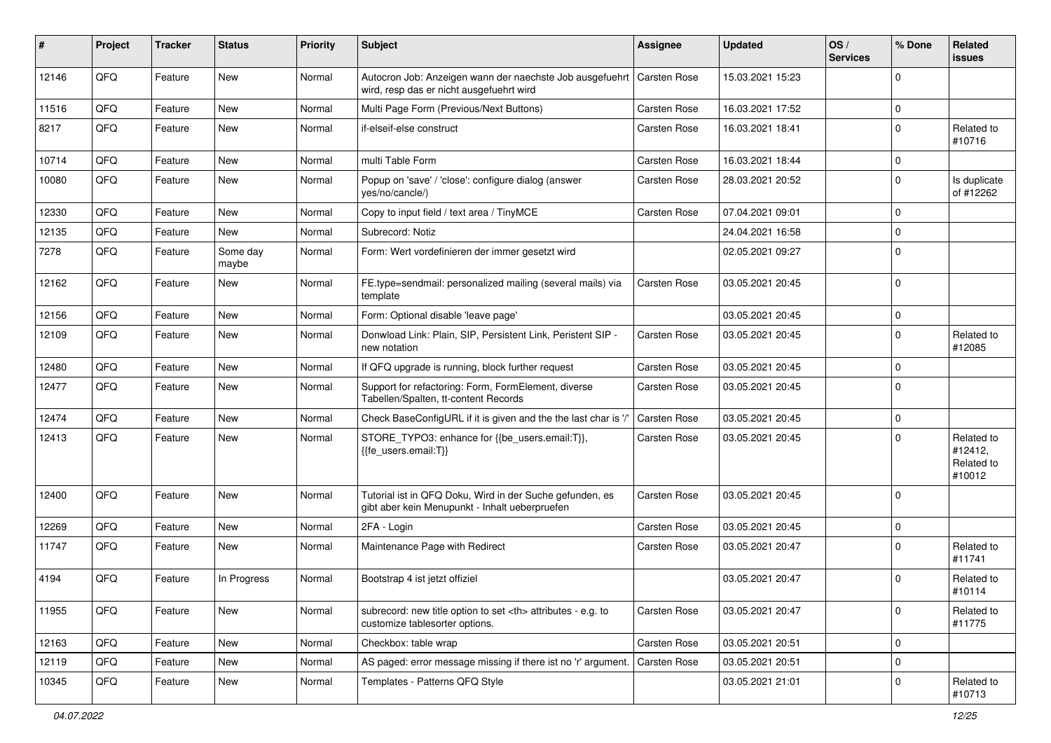| #     | Project | <b>Tracker</b> | <b>Status</b>     | <b>Priority</b> | Subject                                                                                                    | Assignee                                               | <b>Updated</b>   | OS/<br><b>Services</b> | % Done      | Related<br><b>issues</b>                      |                      |
|-------|---------|----------------|-------------------|-----------------|------------------------------------------------------------------------------------------------------------|--------------------------------------------------------|------------------|------------------------|-------------|-----------------------------------------------|----------------------|
| 12146 | QFQ     | Feature        | <b>New</b>        | Normal          | Autocron Job: Anzeigen wann der naechste Job ausgefuehrt<br>wird, resp das er nicht ausgefuehrt wird       | Carsten Rose                                           | 15.03.2021 15:23 |                        | $\mathbf 0$ |                                               |                      |
| 11516 | QFQ     | Feature        | <b>New</b>        | Normal          | Multi Page Form (Previous/Next Buttons)                                                                    | Carsten Rose                                           | 16.03.2021 17:52 |                        | $\mathbf 0$ |                                               |                      |
| 8217  | QFQ     | Feature        | <b>New</b>        | Normal          | if-elseif-else construct                                                                                   | Carsten Rose                                           | 16.03.2021 18:41 |                        | $\mathbf 0$ | Related to<br>#10716                          |                      |
| 10714 | QFQ     | Feature        | <b>New</b>        | Normal          | multi Table Form                                                                                           | Carsten Rose                                           | 16.03.2021 18:44 |                        | $\mathbf 0$ |                                               |                      |
| 10080 | QFQ     | Feature        | <b>New</b>        | Normal          | Popup on 'save' / 'close': configure dialog (answer<br>yes/no/cancle/)                                     | Carsten Rose                                           | 28.03.2021 20:52 |                        | $\mathbf 0$ | Is duplicate<br>of #12262                     |                      |
| 12330 | QFQ     | Feature        | <b>New</b>        | Normal          | Copy to input field / text area / TinyMCE                                                                  | Carsten Rose                                           | 07.04.2021 09:01 |                        | $\mathbf 0$ |                                               |                      |
| 12135 | QFQ     | Feature        | New               | Normal          | Subrecord: Notiz                                                                                           |                                                        | 24.04.2021 16:58 |                        | $\mathbf 0$ |                                               |                      |
| 7278  | QFQ     | Feature        | Some day<br>maybe | Normal          | Form: Wert vordefinieren der immer gesetzt wird                                                            |                                                        | 02.05.2021 09:27 |                        | $\mathbf 0$ |                                               |                      |
| 12162 | QFQ     | Feature        | <b>New</b>        | Normal          | FE.type=sendmail: personalized mailing (several mails) via<br>template                                     | Carsten Rose                                           | 03.05.2021 20:45 |                        | $\mathbf 0$ |                                               |                      |
| 12156 | QFQ     | Feature        | New               | Normal          | Form: Optional disable 'leave page'                                                                        |                                                        | 03.05.2021 20:45 |                        | $\mathsf 0$ |                                               |                      |
| 12109 | QFQ     | Feature        | New               | Normal          | Donwload Link: Plain, SIP, Persistent Link, Peristent SIP -<br>new notation                                | Carsten Rose                                           | 03.05.2021 20:45 |                        | $\mathbf 0$ | Related to<br>#12085                          |                      |
| 12480 | QFQ     | Feature        | <b>New</b>        | Normal          | If QFQ upgrade is running, block further request                                                           | Carsten Rose                                           | 03.05.2021 20:45 |                        | $\mathbf 0$ |                                               |                      |
| 12477 | QFQ     | Feature        | New               | Normal          | Support for refactoring: Form, FormElement, diverse<br>Tabellen/Spalten, tt-content Records                | Carsten Rose                                           | 03.05.2021 20:45 |                        | $\mathbf 0$ |                                               |                      |
| 12474 | QFQ     | Feature        | <b>New</b>        | Normal          | Check BaseConfigURL if it is given and the the last char is '/                                             | Carsten Rose                                           | 03.05.2021 20:45 |                        | $\mathbf 0$ |                                               |                      |
| 12413 | QFQ     | Feature        | New               | Normal          | STORE_TYPO3: enhance for {{be_users.email:T}},<br>{{fe users.email:T}}                                     | Carsten Rose                                           | 03.05.2021 20:45 |                        | $\mathbf 0$ | Related to<br>#12412,<br>Related to<br>#10012 |                      |
| 12400 | QFQ     | Feature        | <b>New</b>        | Normal          | Tutorial ist in QFQ Doku, Wird in der Suche gefunden, es<br>gibt aber kein Menupunkt - Inhalt ueberpruefen | Carsten Rose                                           | 03.05.2021 20:45 |                        | $\mathbf 0$ |                                               |                      |
| 12269 | QFQ     | Feature        | <b>New</b>        | Normal          | 2FA - Login                                                                                                | Carsten Rose                                           | 03.05.2021 20:45 |                        | $\mathbf 0$ |                                               |                      |
| 11747 | QFQ     | Feature        | <b>New</b>        | Normal          | Maintenance Page with Redirect                                                                             | Carsten Rose                                           | 03.05.2021 20:47 |                        | $\mathbf 0$ | Related to<br>#11741                          |                      |
| 4194  | QFQ     | Feature        | In Progress       | Normal          | Bootstrap 4 ist jetzt offiziel                                                                             |                                                        | 03.05.2021 20:47 |                        | $\mathbf 0$ | Related to<br>#10114                          |                      |
| 11955 | QFQ     | Feature        | New               | Normal          | subrecord: new title option to set <th> attributes - e.g. to<br/>customize tablesorter options.</th>       | attributes - e.g. to<br>customize tablesorter options. | Carsten Rose     | 03.05.2021 20:47       |             | $\mathbf 0$                                   | Related to<br>#11775 |
| 12163 | QFQ     | Feature        | New               | Normal          | Checkbox: table wrap                                                                                       | Carsten Rose                                           | 03.05.2021 20:51 |                        | $\mathbf 0$ |                                               |                      |
| 12119 | QFQ     | Feature        | <b>New</b>        | Normal          | AS paged: error message missing if there ist no 'r' argument.                                              | <b>Carsten Rose</b>                                    | 03.05.2021 20:51 |                        | $\mathsf 0$ |                                               |                      |
| 10345 | QFQ     | Feature        | New               | Normal          | Templates - Patterns QFQ Style                                                                             |                                                        | 03.05.2021 21:01 |                        | $\mathsf 0$ | Related to<br>#10713                          |                      |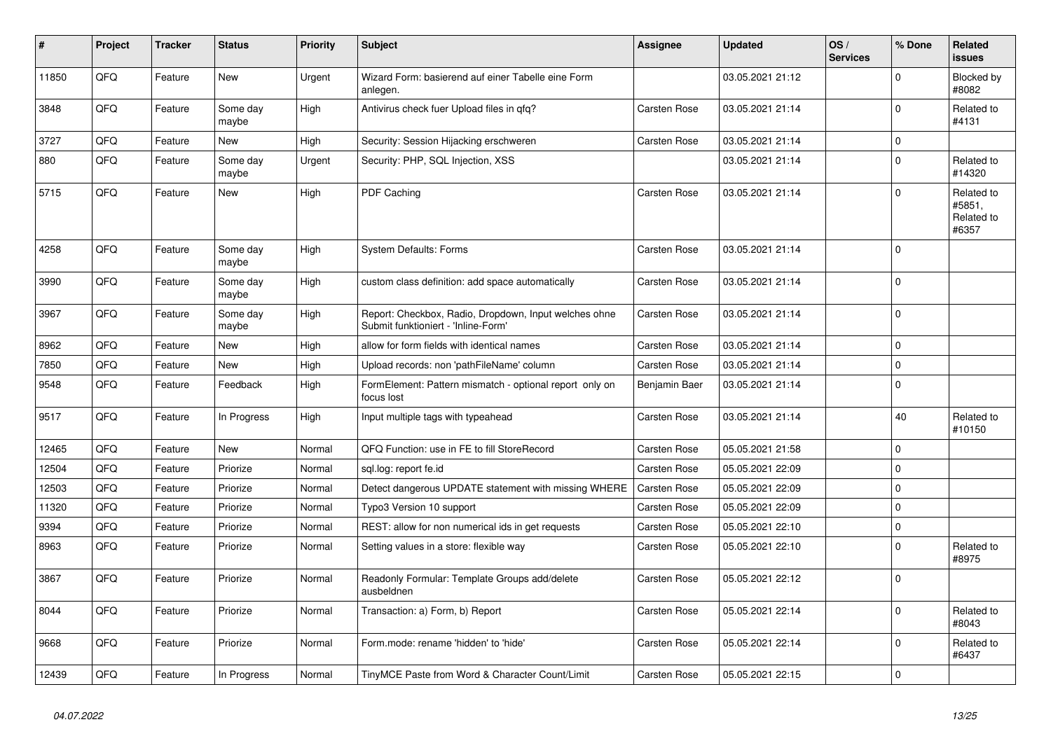| #     | Project | <b>Tracker</b> | <b>Status</b>     | <b>Priority</b> | <b>Subject</b>                                                                               | Assignee            | <b>Updated</b>   | OS/<br><b>Services</b> | % Done      | Related<br>issues                           |
|-------|---------|----------------|-------------------|-----------------|----------------------------------------------------------------------------------------------|---------------------|------------------|------------------------|-------------|---------------------------------------------|
| 11850 | QFQ     | Feature        | <b>New</b>        | Urgent          | Wizard Form: basierend auf einer Tabelle eine Form<br>anlegen.                               |                     | 03.05.2021 21:12 |                        | $\Omega$    | <b>Blocked by</b><br>#8082                  |
| 3848  | QFQ     | Feature        | Some day<br>maybe | High            | Antivirus check fuer Upload files in gfg?                                                    | Carsten Rose        | 03.05.2021 21:14 |                        | $\mathsf 0$ | Related to<br>#4131                         |
| 3727  | QFQ     | Feature        | New               | High            | Security: Session Hijacking erschweren                                                       | Carsten Rose        | 03.05.2021 21:14 |                        | $\mathbf 0$ |                                             |
| 880   | QFQ     | Feature        | Some day<br>maybe | Urgent          | Security: PHP, SQL Injection, XSS                                                            |                     | 03.05.2021 21:14 |                        | $\mathbf 0$ | Related to<br>#14320                        |
| 5715  | QFQ     | Feature        | New               | High            | PDF Caching                                                                                  | <b>Carsten Rose</b> | 03.05.2021 21:14 |                        | $\mathbf 0$ | Related to<br>#5851.<br>Related to<br>#6357 |
| 4258  | QFQ     | Feature        | Some day<br>maybe | High            | <b>System Defaults: Forms</b>                                                                | <b>Carsten Rose</b> | 03.05.2021 21:14 |                        | $\mathbf 0$ |                                             |
| 3990  | QFQ     | Feature        | Some day<br>maybe | High            | custom class definition: add space automatically                                             | <b>Carsten Rose</b> | 03.05.2021 21:14 |                        | $\mathbf 0$ |                                             |
| 3967  | QFQ     | Feature        | Some day<br>maybe | High            | Report: Checkbox, Radio, Dropdown, Input welches ohne<br>Submit funktioniert - 'Inline-Form' | <b>Carsten Rose</b> | 03.05.2021 21:14 |                        | $\mathbf 0$ |                                             |
| 8962  | QFQ     | Feature        | <b>New</b>        | High            | allow for form fields with identical names                                                   | <b>Carsten Rose</b> | 03.05.2021 21:14 |                        | $\mathbf 0$ |                                             |
| 7850  | QFQ     | Feature        | New               | High            | Upload records: non 'pathFileName' column                                                    | Carsten Rose        | 03.05.2021 21:14 |                        | $\mathsf 0$ |                                             |
| 9548  | QFQ     | Feature        | Feedback          | High            | FormElement: Pattern mismatch - optional report only on<br>focus lost                        | Benjamin Baer       | 03.05.2021 21:14 |                        | $\mathbf 0$ |                                             |
| 9517  | QFQ     | Feature        | In Progress       | High            | Input multiple tags with typeahead                                                           | <b>Carsten Rose</b> | 03.05.2021 21:14 |                        | 40          | Related to<br>#10150                        |
| 12465 | QFQ     | Feature        | New               | Normal          | QFQ Function: use in FE to fill StoreRecord                                                  | <b>Carsten Rose</b> | 05.05.2021 21:58 |                        | $\mathbf 0$ |                                             |
| 12504 | QFQ     | Feature        | Priorize          | Normal          | sql.log: report fe.id                                                                        | Carsten Rose        | 05.05.2021 22:09 |                        | $\mathbf 0$ |                                             |
| 12503 | QFQ     | Feature        | Priorize          | Normal          | Detect dangerous UPDATE statement with missing WHERE                                         | <b>Carsten Rose</b> | 05.05.2021 22:09 |                        | $\mathbf 0$ |                                             |
| 11320 | QFQ     | Feature        | Priorize          | Normal          | Typo3 Version 10 support                                                                     | Carsten Rose        | 05.05.2021 22:09 |                        | $\mathsf 0$ |                                             |
| 9394  | QFQ     | Feature        | Priorize          | Normal          | REST: allow for non numerical ids in get requests                                            | Carsten Rose        | 05.05.2021 22:10 |                        | $\mathsf 0$ |                                             |
| 8963  | QFQ     | Feature        | Priorize          | Normal          | Setting values in a store: flexible way                                                      | Carsten Rose        | 05.05.2021 22:10 |                        | $\mathbf 0$ | Related to<br>#8975                         |
| 3867  | QFQ     | Feature        | Priorize          | Normal          | Readonly Formular: Template Groups add/delete<br>ausbeldnen                                  | <b>Carsten Rose</b> | 05.05.2021 22:12 |                        | $\mathbf 0$ |                                             |
| 8044  | QFQ     | Feature        | Priorize          | Normal          | Transaction: a) Form, b) Report                                                              | <b>Carsten Rose</b> | 05.05.2021 22:14 |                        | $\mathbf 0$ | Related to<br>#8043                         |
| 9668  | QFQ     | Feature        | Priorize          | Normal          | Form.mode: rename 'hidden' to 'hide'                                                         | <b>Carsten Rose</b> | 05.05.2021 22:14 |                        | $\mathbf 0$ | Related to<br>#6437                         |
| 12439 | QFQ     | Feature        | In Progress       | Normal          | TinyMCE Paste from Word & Character Count/Limit                                              | <b>Carsten Rose</b> | 05.05.2021 22:15 |                        | $\pmb{0}$   |                                             |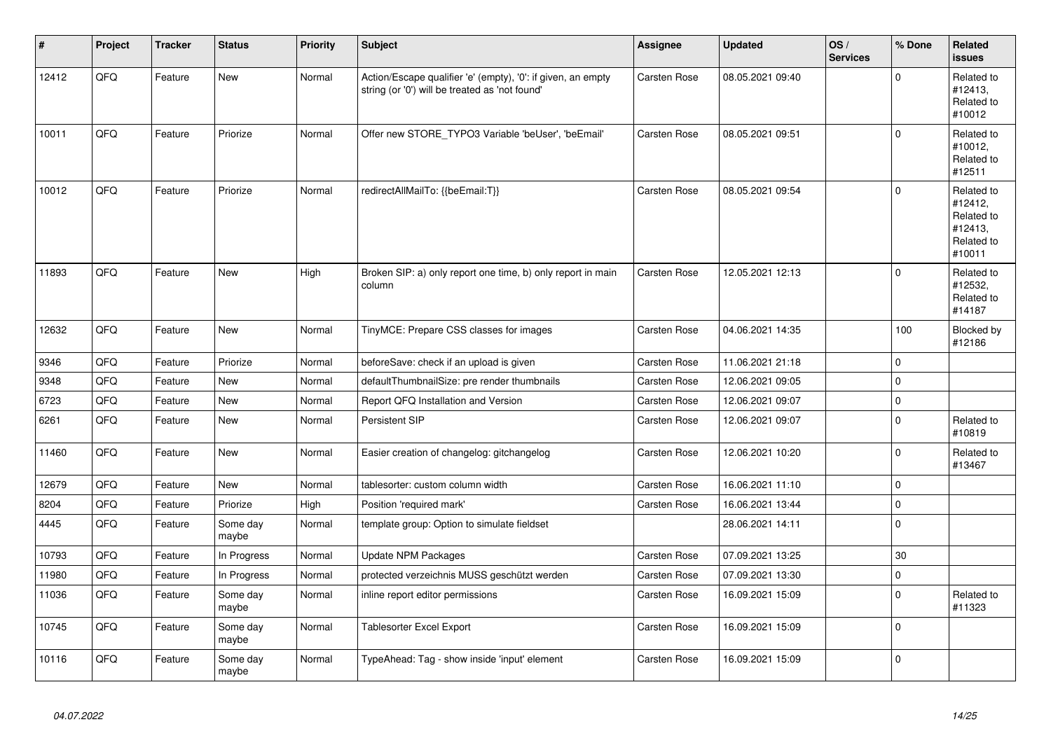| #     | Project | <b>Tracker</b> | <b>Status</b>     | <b>Priority</b> | <b>Subject</b>                                                                                                 | Assignee     | <b>Updated</b>   | OS/<br><b>Services</b> | % Done      | Related<br><b>issues</b>                                               |
|-------|---------|----------------|-------------------|-----------------|----------------------------------------------------------------------------------------------------------------|--------------|------------------|------------------------|-------------|------------------------------------------------------------------------|
| 12412 | QFQ     | Feature        | New               | Normal          | Action/Escape qualifier 'e' (empty), '0': if given, an empty<br>string (or '0') will be treated as 'not found' | Carsten Rose | 08.05.2021 09:40 |                        | $\Omega$    | Related to<br>#12413,<br>Related to<br>#10012                          |
| 10011 | QFQ     | Feature        | Priorize          | Normal          | Offer new STORE TYPO3 Variable 'beUser', 'beEmail'                                                             | Carsten Rose | 08.05.2021 09:51 |                        | $\Omega$    | Related to<br>#10012,<br>Related to<br>#12511                          |
| 10012 | QFQ     | Feature        | Priorize          | Normal          | redirectAllMailTo: {{beEmail:T}}                                                                               | Carsten Rose | 08.05.2021 09:54 |                        | $\Omega$    | Related to<br>#12412,<br>Related to<br>#12413.<br>Related to<br>#10011 |
| 11893 | QFQ     | Feature        | New               | High            | Broken SIP: a) only report one time, b) only report in main<br>column                                          | Carsten Rose | 12.05.2021 12:13 |                        | $\Omega$    | Related to<br>#12532,<br>Related to<br>#14187                          |
| 12632 | QFQ     | Feature        | New               | Normal          | TinyMCE: Prepare CSS classes for images                                                                        | Carsten Rose | 04.06.2021 14:35 |                        | 100         | Blocked by<br>#12186                                                   |
| 9346  | QFQ     | Feature        | Priorize          | Normal          | beforeSave: check if an upload is given                                                                        | Carsten Rose | 11.06.2021 21:18 |                        | $\mathbf 0$ |                                                                        |
| 9348  | QFQ     | Feature        | New               | Normal          | defaultThumbnailSize: pre render thumbnails                                                                    | Carsten Rose | 12.06.2021 09:05 |                        | $\mathbf 0$ |                                                                        |
| 6723  | QFQ     | Feature        | New               | Normal          | Report QFQ Installation and Version                                                                            | Carsten Rose | 12.06.2021 09:07 |                        | $\mathbf 0$ |                                                                        |
| 6261  | QFQ     | Feature        | <b>New</b>        | Normal          | Persistent SIP                                                                                                 | Carsten Rose | 12.06.2021 09:07 |                        | $\mathbf 0$ | Related to<br>#10819                                                   |
| 11460 | QFQ     | Feature        | New               | Normal          | Easier creation of changelog: gitchangelog                                                                     | Carsten Rose | 12.06.2021 10:20 |                        | $\Omega$    | Related to<br>#13467                                                   |
| 12679 | QFQ     | Feature        | New               | Normal          | tablesorter: custom column width                                                                               | Carsten Rose | 16.06.2021 11:10 |                        | $\pmb{0}$   |                                                                        |
| 8204  | QFQ     | Feature        | Priorize          | High            | Position 'required mark'                                                                                       | Carsten Rose | 16.06.2021 13:44 |                        | $\mathbf 0$ |                                                                        |
| 4445  | QFQ     | Feature        | Some day<br>maybe | Normal          | template group: Option to simulate fieldset                                                                    |              | 28.06.2021 14:11 |                        | $\mathbf 0$ |                                                                        |
| 10793 | QFQ     | Feature        | In Progress       | Normal          | Update NPM Packages                                                                                            | Carsten Rose | 07.09.2021 13:25 |                        | $30\,$      |                                                                        |
| 11980 | QFQ     | Feature        | In Progress       | Normal          | protected verzeichnis MUSS geschützt werden                                                                    | Carsten Rose | 07.09.2021 13:30 |                        | $\pmb{0}$   |                                                                        |
| 11036 | QFQ     | Feature        | Some day<br>maybe | Normal          | inline report editor permissions                                                                               | Carsten Rose | 16.09.2021 15:09 |                        | $\Omega$    | Related to<br>#11323                                                   |
| 10745 | QFQ     | Feature        | Some day<br>maybe | Normal          | Tablesorter Excel Export                                                                                       | Carsten Rose | 16.09.2021 15:09 |                        | $\Omega$    |                                                                        |
| 10116 | QFQ     | Feature        | Some day<br>maybe | Normal          | TypeAhead: Tag - show inside 'input' element                                                                   | Carsten Rose | 16.09.2021 15:09 |                        | $\Omega$    |                                                                        |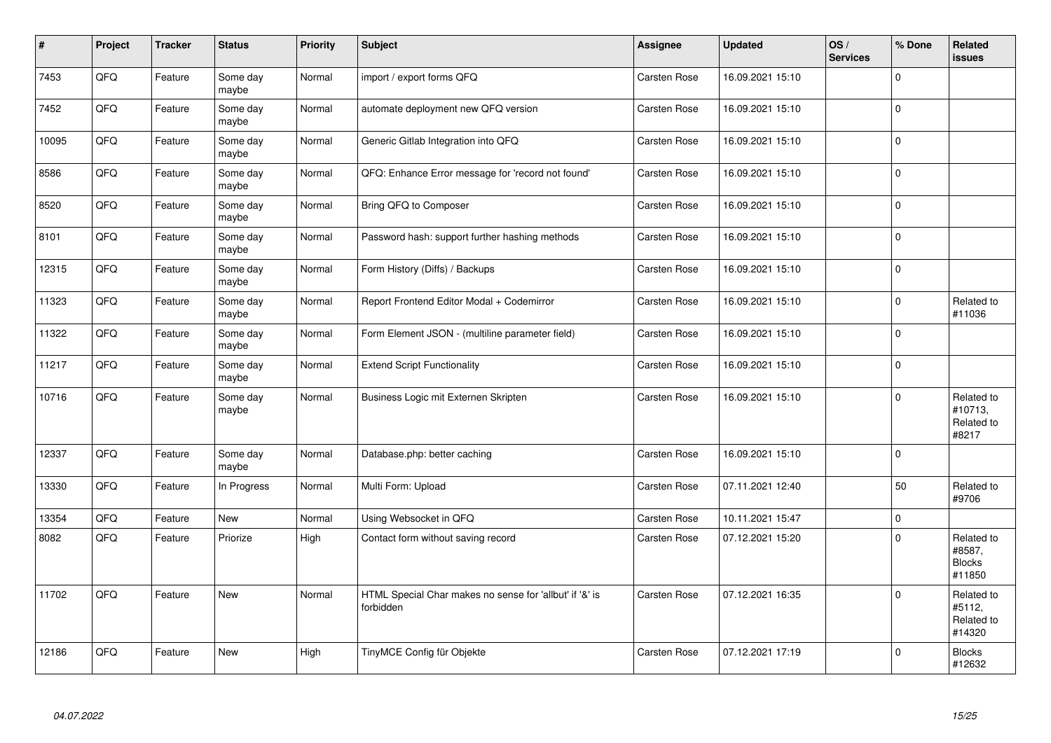| $\sharp$ | Project | <b>Tracker</b> | <b>Status</b>     | <b>Priority</b> | <b>Subject</b>                                                       | Assignee            | <b>Updated</b>   | OS/<br><b>Services</b> | % Done      | <b>Related</b><br><b>issues</b>                 |
|----------|---------|----------------|-------------------|-----------------|----------------------------------------------------------------------|---------------------|------------------|------------------------|-------------|-------------------------------------------------|
| 7453     | QFQ     | Feature        | Some day<br>maybe | Normal          | import / export forms QFQ                                            | <b>Carsten Rose</b> | 16.09.2021 15:10 |                        | $\mathbf 0$ |                                                 |
| 7452     | QFQ     | Feature        | Some day<br>maybe | Normal          | automate deployment new QFQ version                                  | Carsten Rose        | 16.09.2021 15:10 |                        | $\pmb{0}$   |                                                 |
| 10095    | QFQ     | Feature        | Some day<br>maybe | Normal          | Generic Gitlab Integration into QFQ                                  | <b>Carsten Rose</b> | 16.09.2021 15:10 |                        | $\pmb{0}$   |                                                 |
| 8586     | QFQ     | Feature        | Some day<br>maybe | Normal          | QFQ: Enhance Error message for 'record not found'                    | Carsten Rose        | 16.09.2021 15:10 |                        | $\pmb{0}$   |                                                 |
| 8520     | QFQ     | Feature        | Some day<br>maybe | Normal          | Bring QFQ to Composer                                                | <b>Carsten Rose</b> | 16.09.2021 15:10 |                        | $\mathbf 0$ |                                                 |
| 8101     | QFQ     | Feature        | Some day<br>maybe | Normal          | Password hash: support further hashing methods                       | Carsten Rose        | 16.09.2021 15:10 |                        | $\pmb{0}$   |                                                 |
| 12315    | QFQ     | Feature        | Some day<br>maybe | Normal          | Form History (Diffs) / Backups                                       | Carsten Rose        | 16.09.2021 15:10 |                        | $\mathsf 0$ |                                                 |
| 11323    | QFQ     | Feature        | Some day<br>maybe | Normal          | Report Frontend Editor Modal + Codemirror                            | Carsten Rose        | 16.09.2021 15:10 |                        | $\mathsf 0$ | Related to<br>#11036                            |
| 11322    | QFQ     | Feature        | Some day<br>maybe | Normal          | Form Element JSON - (multiline parameter field)                      | Carsten Rose        | 16.09.2021 15:10 |                        | $\mathbf 0$ |                                                 |
| 11217    | QFQ     | Feature        | Some day<br>maybe | Normal          | <b>Extend Script Functionality</b>                                   | Carsten Rose        | 16.09.2021 15:10 |                        | $\pmb{0}$   |                                                 |
| 10716    | QFQ     | Feature        | Some day<br>maybe | Normal          | Business Logic mit Externen Skripten                                 | <b>Carsten Rose</b> | 16.09.2021 15:10 |                        | $\mathbf 0$ | Related to<br>#10713,<br>Related to<br>#8217    |
| 12337    | QFQ     | Feature        | Some day<br>maybe | Normal          | Database.php: better caching                                         | Carsten Rose        | 16.09.2021 15:10 |                        | $\Omega$    |                                                 |
| 13330    | QFQ     | Feature        | In Progress       | Normal          | Multi Form: Upload                                                   | <b>Carsten Rose</b> | 07.11.2021 12:40 |                        | 50          | Related to<br>#9706                             |
| 13354    | QFQ     | Feature        | <b>New</b>        | Normal          | Using Websocket in QFQ                                               | Carsten Rose        | 10.11.2021 15:47 |                        | $\mathbf 0$ |                                                 |
| 8082     | QFQ     | Feature        | Priorize          | High            | Contact form without saving record                                   | Carsten Rose        | 07.12.2021 15:20 |                        | $\mathbf 0$ | Related to<br>#8587,<br><b>Blocks</b><br>#11850 |
| 11702    | QFQ     | Feature        | New               | Normal          | HTML Special Char makes no sense for 'allbut' if '&' is<br>forbidden | Carsten Rose        | 07.12.2021 16:35 |                        | $\mathsf 0$ | Related to<br>#5112,<br>Related to<br>#14320    |
| 12186    | QFQ     | Feature        | New               | High            | TinyMCE Config für Objekte                                           | Carsten Rose        | 07.12.2021 17:19 |                        | $\mathbf 0$ | <b>Blocks</b><br>#12632                         |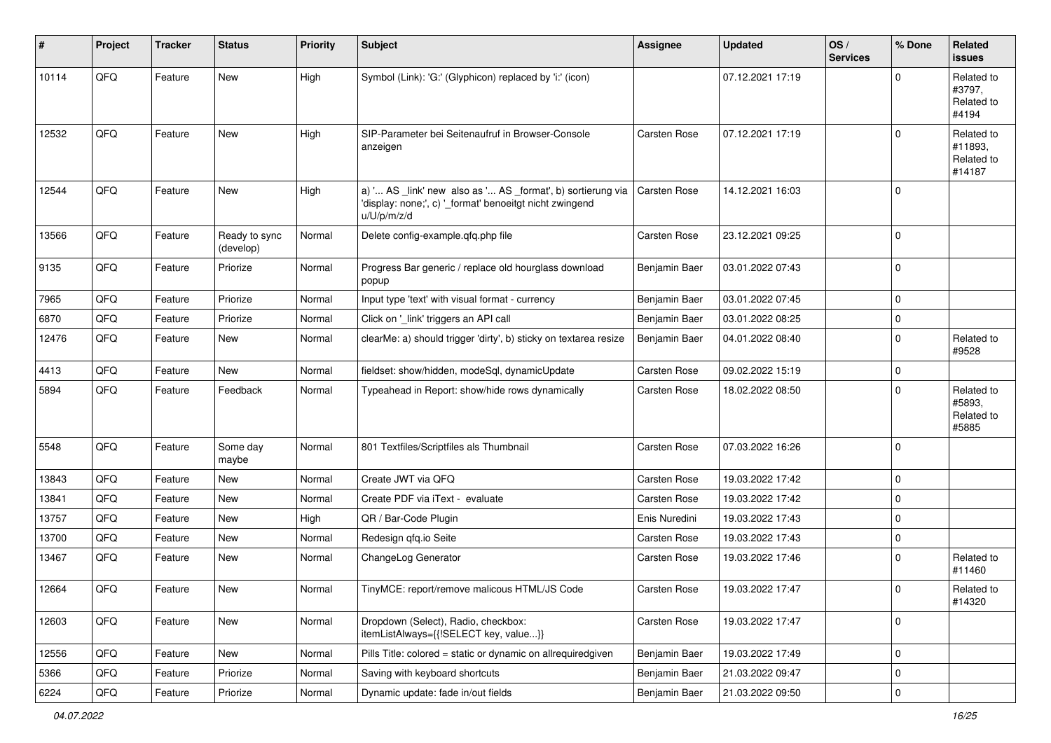| ∦     | Project        | <b>Tracker</b> | <b>Status</b>              | <b>Priority</b> | <b>Subject</b>                                                                                                                        | Assignee            | <b>Updated</b>   | OS/<br><b>Services</b> | % Done              | <b>Related</b><br><b>issues</b>               |
|-------|----------------|----------------|----------------------------|-----------------|---------------------------------------------------------------------------------------------------------------------------------------|---------------------|------------------|------------------------|---------------------|-----------------------------------------------|
| 10114 | QFQ            | Feature        | New                        | High            | Symbol (Link): 'G:' (Glyphicon) replaced by 'i:' (icon)                                                                               |                     | 07.12.2021 17:19 |                        | $\Omega$            | Related to<br>#3797,<br>Related to<br>#4194   |
| 12532 | QFQ            | Feature        | New                        | High            | SIP-Parameter bei Seitenaufruf in Browser-Console<br>anzeigen                                                                         | Carsten Rose        | 07.12.2021 17:19 |                        | $\Omega$            | Related to<br>#11893,<br>Related to<br>#14187 |
| 12544 | QFQ            | Feature        | New                        | High            | a) ' AS _link' new also as ' AS _format', b) sortierung via<br>'display: none;', c) '_format' benoeitgt nicht zwingend<br>u/U/p/m/z/d | <b>Carsten Rose</b> | 14.12.2021 16:03 |                        | $\mathbf 0$         |                                               |
| 13566 | QFQ            | Feature        | Ready to sync<br>(develop) | Normal          | Delete config-example.qfq.php file                                                                                                    | Carsten Rose        | 23.12.2021 09:25 |                        | $\mathbf 0$         |                                               |
| 9135  | QFQ            | Feature        | Priorize                   | Normal          | Progress Bar generic / replace old hourglass download<br>popup                                                                        | Benjamin Baer       | 03.01.2022 07:43 |                        | $\mathbf 0$         |                                               |
| 7965  | QFQ            | Feature        | Priorize                   | Normal          | Input type 'text' with visual format - currency                                                                                       | Benjamin Baer       | 03.01.2022 07:45 |                        | $\mathbf 0$         |                                               |
| 6870  | QFQ            | Feature        | Priorize                   | Normal          | Click on '_link' triggers an API call                                                                                                 | Benjamin Baer       | 03.01.2022 08:25 |                        | $\mathsf 0$         |                                               |
| 12476 | QFQ            | Feature        | New                        | Normal          | clearMe: a) should trigger 'dirty', b) sticky on textarea resize                                                                      | Benjamin Baer       | 04.01.2022 08:40 |                        | $\mathbf 0$         | Related to<br>#9528                           |
| 4413  | QFQ            | Feature        | <b>New</b>                 | Normal          | fieldset: show/hidden, modeSql, dynamicUpdate                                                                                         | Carsten Rose        | 09.02.2022 15:19 |                        | $\mathbf 0$         |                                               |
| 5894  | QFQ            | Feature        | Feedback                   | Normal          | Typeahead in Report: show/hide rows dynamically                                                                                       | Carsten Rose        | 18.02.2022 08:50 |                        | $\mathbf 0$         | Related to<br>#5893,<br>Related to<br>#5885   |
| 5548  | QFQ            | Feature        | Some day<br>maybe          | Normal          | 801 Textfiles/Scriptfiles als Thumbnail                                                                                               | Carsten Rose        | 07.03.2022 16:26 |                        | $\mathbf 0$         |                                               |
| 13843 | QFQ            | Feature        | New                        | Normal          | Create JWT via QFQ                                                                                                                    | Carsten Rose        | 19.03.2022 17:42 |                        | $\mathbf 0$         |                                               |
| 13841 | QFQ            | Feature        | New                        | Normal          | Create PDF via iText - evaluate                                                                                                       | Carsten Rose        | 19.03.2022 17:42 |                        | $\mathbf 0$         |                                               |
| 13757 | QFQ            | Feature        | New                        | High            | QR / Bar-Code Plugin                                                                                                                  | Enis Nuredini       | 19.03.2022 17:43 |                        | $\mathbf 0$         |                                               |
| 13700 | QFQ            | Feature        | New                        | Normal          | Redesign gfg.io Seite                                                                                                                 | Carsten Rose        | 19.03.2022 17:43 |                        | $\mathbf 0$         |                                               |
| 13467 | QFQ            | Feature        | New                        | Normal          | ChangeLog Generator                                                                                                                   | Carsten Rose        | 19.03.2022 17:46 |                        | $\mathbf 0$         | Related to<br>#11460                          |
| 12664 | QFQ            | Feature        | New                        | Normal          | TinyMCE: report/remove malicous HTML/JS Code                                                                                          | <b>Carsten Rose</b> | 19.03.2022 17:47 |                        | $\mathbf 0$         | Related to<br>#14320                          |
| 12603 | QFQ            | Feature        | New                        | Normal          | Dropdown (Select), Radio, checkbox:<br>itemListAlways={{!SELECT key, value}}                                                          | Carsten Rose        | 19.03.2022 17:47 |                        | $\mathsf{O}\xspace$ |                                               |
| 12556 | QFO            | Feature        | New                        | Normal          | Pills Title: colored = static or dynamic on allrequiredgiven                                                                          | Benjamin Baer       | 19.03.2022 17:49 |                        | $\mathsf{O}\xspace$ |                                               |
| 5366  | QFQ            | Feature        | Priorize                   | Normal          | Saving with keyboard shortcuts                                                                                                        | Benjamin Baer       | 21.03.2022 09:47 |                        | 0                   |                                               |
| 6224  | $\mathsf{QFQ}$ | Feature        | Priorize                   | Normal          | Dynamic update: fade in/out fields                                                                                                    | Benjamin Baer       | 21.03.2022 09:50 |                        | $\pmb{0}$           |                                               |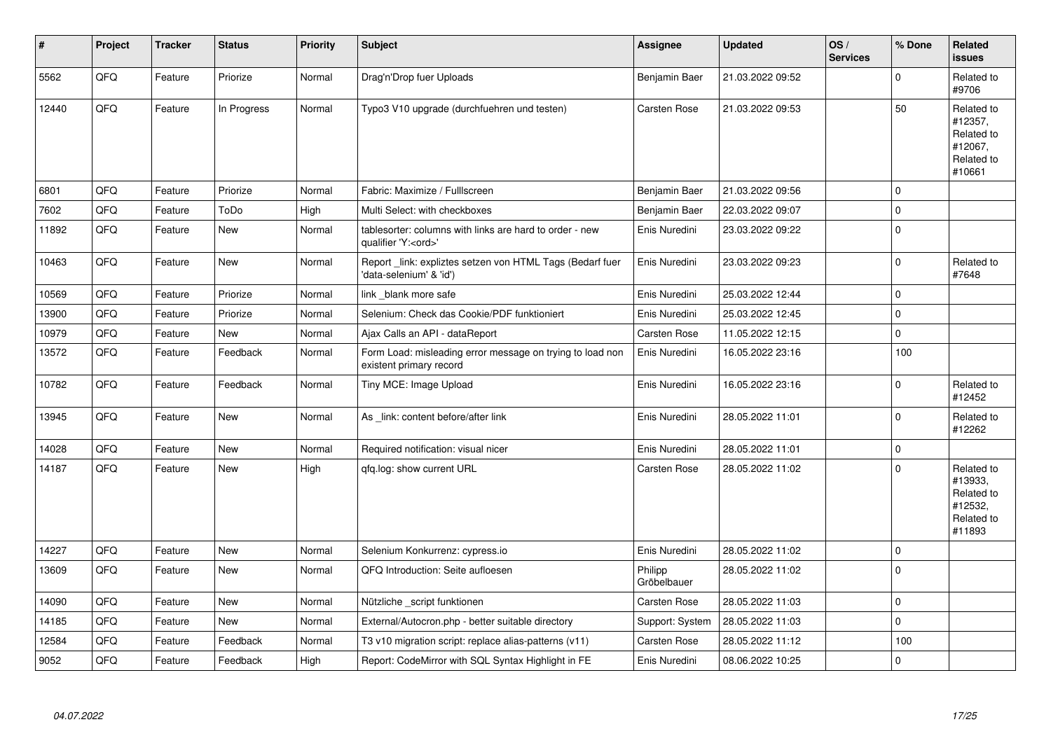| #     | Project | <b>Tracker</b> | <b>Status</b> | <b>Priority</b> | <b>Subject</b>                                                                        | <b>Assignee</b>        | <b>Updated</b>   | OS/<br><b>Services</b> | % Done      | Related<br><b>issues</b>                                               |
|-------|---------|----------------|---------------|-----------------|---------------------------------------------------------------------------------------|------------------------|------------------|------------------------|-------------|------------------------------------------------------------------------|
| 5562  | QFQ     | Feature        | Priorize      | Normal          | Drag'n'Drop fuer Uploads                                                              | Benjamin Baer          | 21.03.2022 09:52 |                        | $\Omega$    | Related to<br>#9706                                                    |
| 12440 | QFQ     | Feature        | In Progress   | Normal          | Typo3 V10 upgrade (durchfuehren und testen)                                           | <b>Carsten Rose</b>    | 21.03.2022 09:53 |                        | 50          | Related to<br>#12357,<br>Related to<br>#12067,<br>Related to<br>#10661 |
| 6801  | QFQ     | Feature        | Priorize      | Normal          | Fabric: Maximize / FullIscreen                                                        | Benjamin Baer          | 21.03.2022 09:56 |                        | $\mathbf 0$ |                                                                        |
| 7602  | QFQ     | Feature        | ToDo          | High            | Multi Select: with checkboxes                                                         | Benjamin Baer          | 22.03.2022 09:07 |                        | $\pmb{0}$   |                                                                        |
| 11892 | QFQ     | Feature        | New           | Normal          | tablesorter: columns with links are hard to order - new<br>qualifier 'Y: <ord>'</ord> | Enis Nuredini          | 23.03.2022 09:22 |                        | $\pmb{0}$   |                                                                        |
| 10463 | QFQ     | Feature        | New           | Normal          | Report link: expliztes setzen von HTML Tags (Bedarf fuer<br>'data-selenium' & 'id')   | Enis Nuredini          | 23.03.2022 09:23 |                        | $\pmb{0}$   | Related to<br>#7648                                                    |
| 10569 | QFQ     | Feature        | Priorize      | Normal          | link_blank more safe                                                                  | Enis Nuredini          | 25.03.2022 12:44 |                        | $\pmb{0}$   |                                                                        |
| 13900 | QFQ     | Feature        | Priorize      | Normal          | Selenium: Check das Cookie/PDF funktioniert                                           | Enis Nuredini          | 25.03.2022 12:45 |                        | $\mathbf 0$ |                                                                        |
| 10979 | QFQ     | Feature        | <b>New</b>    | Normal          | Ajax Calls an API - dataReport                                                        | <b>Carsten Rose</b>    | 11.05.2022 12:15 |                        | $\mathbf 0$ |                                                                        |
| 13572 | QFQ     | Feature        | Feedback      | Normal          | Form Load: misleading error message on trying to load non<br>existent primary record  | Enis Nuredini          | 16.05.2022 23:16 |                        | 100         |                                                                        |
| 10782 | QFQ     | Feature        | Feedback      | Normal          | Tiny MCE: Image Upload                                                                | Enis Nuredini          | 16.05.2022 23:16 |                        | $\Omega$    | Related to<br>#12452                                                   |
| 13945 | QFQ     | Feature        | New           | Normal          | As _link: content before/after link                                                   | Enis Nuredini          | 28.05.2022 11:01 |                        | $\mathbf 0$ | Related to<br>#12262                                                   |
| 14028 | QFQ     | Feature        | <b>New</b>    | Normal          | Required notification: visual nicer                                                   | Enis Nuredini          | 28.05.2022 11:01 |                        | $\pmb{0}$   |                                                                        |
| 14187 | QFQ     | Feature        | New           | High            | qfq.log: show current URL                                                             | Carsten Rose           | 28.05.2022 11:02 |                        | $\pmb{0}$   | Related to<br>#13933,<br>Related to<br>#12532,<br>Related to<br>#11893 |
| 14227 | QFQ     | Feature        | <b>New</b>    | Normal          | Selenium Konkurrenz: cypress.io                                                       | Enis Nuredini          | 28.05.2022 11:02 |                        | $\pmb{0}$   |                                                                        |
| 13609 | QFQ     | Feature        | New           | Normal          | QFQ Introduction: Seite aufloesen                                                     | Philipp<br>Gröbelbauer | 28.05.2022 11:02 |                        | $\pmb{0}$   |                                                                        |
| 14090 | QFQ     | Feature        | New           | Normal          | Nützliche script funktionen                                                           | Carsten Rose           | 28.05.2022 11:03 |                        | $\pmb{0}$   |                                                                        |
| 14185 | QFQ     | Feature        | New           | Normal          | External/Autocron.php - better suitable directory                                     | Support: System        | 28.05.2022 11:03 |                        | $\mathbf 0$ |                                                                        |
| 12584 | QFQ     | Feature        | Feedback      | Normal          | T3 v10 migration script: replace alias-patterns (v11)                                 | Carsten Rose           | 28.05.2022 11:12 |                        | 100         |                                                                        |
| 9052  | QFQ     | Feature        | Feedback      | High            | Report: CodeMirror with SQL Syntax Highlight in FE                                    | Enis Nuredini          | 08.06.2022 10:25 |                        | $\pmb{0}$   |                                                                        |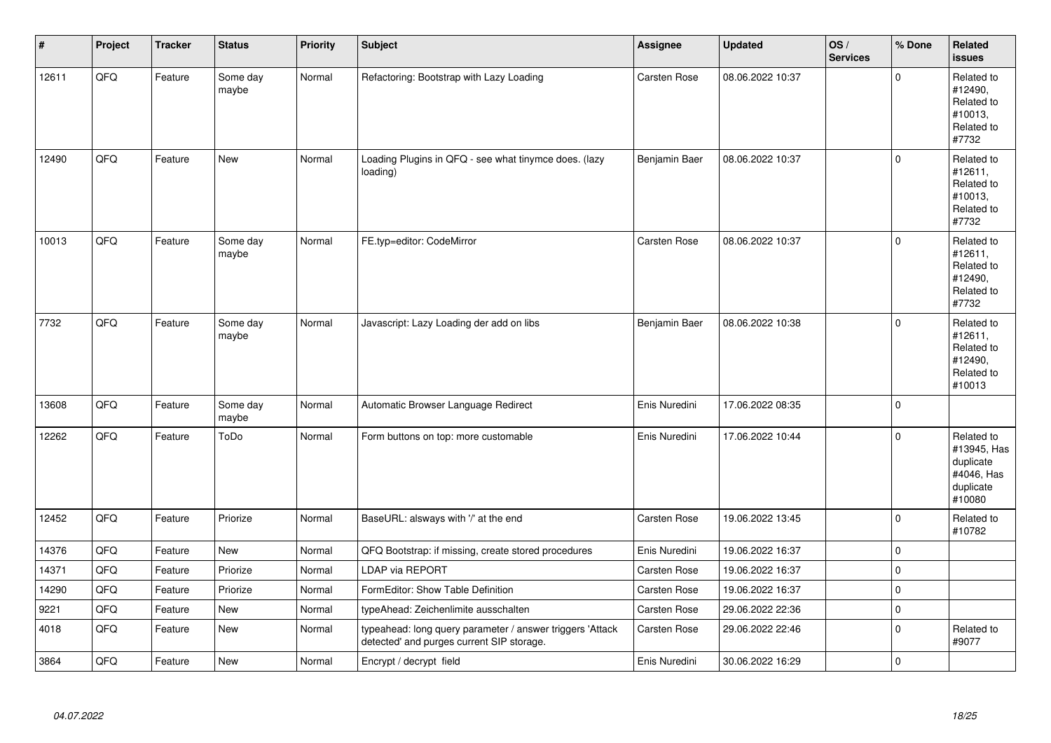| $\sharp$ | Project | <b>Tracker</b> | <b>Status</b>     | <b>Priority</b> | <b>Subject</b>                                                                                         | <b>Assignee</b>     | <b>Updated</b>   | OS/<br><b>Services</b> | % Done      | Related<br><b>issues</b>                                                    |
|----------|---------|----------------|-------------------|-----------------|--------------------------------------------------------------------------------------------------------|---------------------|------------------|------------------------|-------------|-----------------------------------------------------------------------------|
| 12611    | QFQ     | Feature        | Some day<br>maybe | Normal          | Refactoring: Bootstrap with Lazy Loading                                                               | <b>Carsten Rose</b> | 08.06.2022 10:37 |                        | $\pmb{0}$   | Related to<br>#12490,<br>Related to<br>#10013,<br>Related to<br>#7732       |
| 12490    | QFQ     | Feature        | <b>New</b>        | Normal          | Loading Plugins in QFQ - see what tinymce does. (lazy<br>loading)                                      | Benjamin Baer       | 08.06.2022 10:37 |                        | $\mathbf 0$ | Related to<br>#12611,<br>Related to<br>#10013,<br>Related to<br>#7732       |
| 10013    | QFQ     | Feature        | Some day<br>maybe | Normal          | FE.typ=editor: CodeMirror                                                                              | Carsten Rose        | 08.06.2022 10:37 |                        | $\mathbf 0$ | Related to<br>#12611,<br>Related to<br>#12490,<br>Related to<br>#7732       |
| 7732     | QFQ     | Feature        | Some day<br>maybe | Normal          | Javascript: Lazy Loading der add on libs                                                               | Benjamin Baer       | 08.06.2022 10:38 |                        | $\mathbf 0$ | Related to<br>#12611,<br>Related to<br>#12490,<br>Related to<br>#10013      |
| 13608    | QFQ     | Feature        | Some day<br>maybe | Normal          | Automatic Browser Language Redirect                                                                    | Enis Nuredini       | 17.06.2022 08:35 |                        | $\pmb{0}$   |                                                                             |
| 12262    | QFQ     | Feature        | ToDo              | Normal          | Form buttons on top: more customable                                                                   | Enis Nuredini       | 17.06.2022 10:44 |                        | $\Omega$    | Related to<br>#13945, Has<br>duplicate<br>#4046, Has<br>duplicate<br>#10080 |
| 12452    | QFQ     | Feature        | Priorize          | Normal          | BaseURL: alsways with '/' at the end                                                                   | <b>Carsten Rose</b> | 19.06.2022 13:45 |                        | $\pmb{0}$   | Related to<br>#10782                                                        |
| 14376    | QFQ     | Feature        | <b>New</b>        | Normal          | QFQ Bootstrap: if missing, create stored procedures                                                    | Enis Nuredini       | 19.06.2022 16:37 |                        | $\mathsf 0$ |                                                                             |
| 14371    | QFQ     | Feature        | Priorize          | Normal          | <b>LDAP via REPORT</b>                                                                                 | <b>Carsten Rose</b> | 19.06.2022 16:37 |                        | $\pmb{0}$   |                                                                             |
| 14290    | QFQ     | Feature        | Priorize          | Normal          | FormEditor: Show Table Definition                                                                      | Carsten Rose        | 19.06.2022 16:37 |                        | $\pmb{0}$   |                                                                             |
| 9221     | QFQ     | Feature        | New               | Normal          | typeAhead: Zeichenlimite ausschalten                                                                   | <b>Carsten Rose</b> | 29.06.2022 22:36 |                        | $\pmb{0}$   |                                                                             |
| 4018     | QFQ     | Feature        | <b>New</b>        | Normal          | typeahead: long query parameter / answer triggers 'Attack<br>detected' and purges current SIP storage. | <b>Carsten Rose</b> | 29.06.2022 22:46 |                        | $\mathbf 0$ | Related to<br>#9077                                                         |
| 3864     | QFQ     | Feature        | New               | Normal          | Encrypt / decrypt field                                                                                | Enis Nuredini       | 30.06.2022 16:29 |                        | $\pmb{0}$   |                                                                             |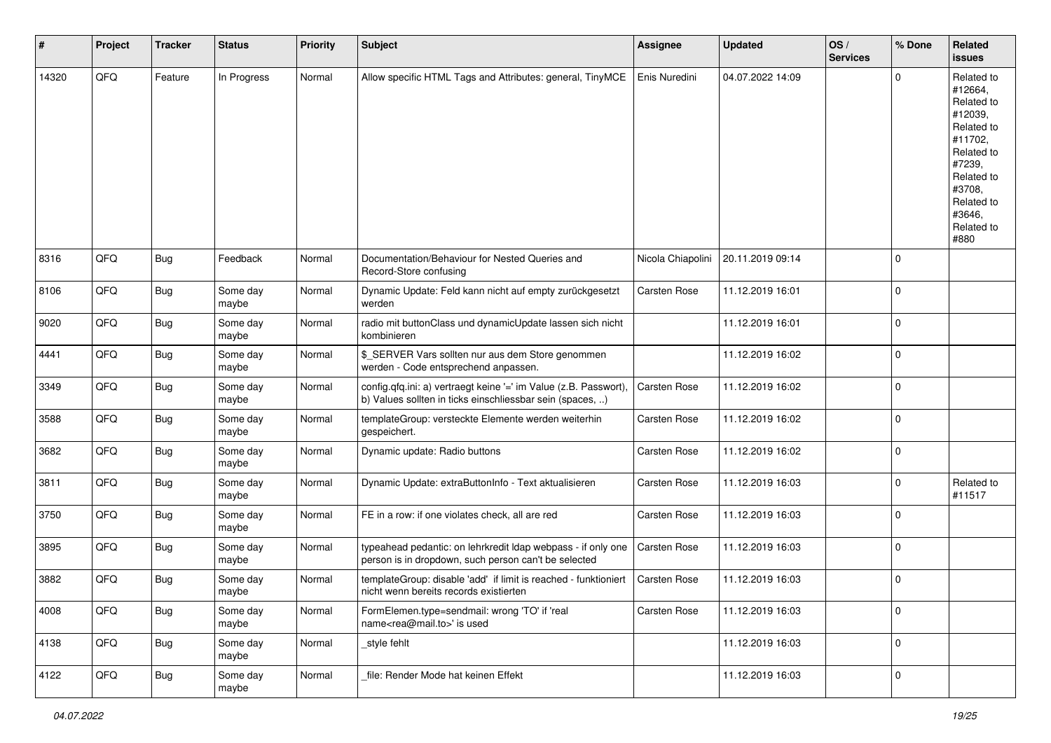| #     | Project | <b>Tracker</b> | <b>Status</b>     | <b>Priority</b> | <b>Subject</b>                                                                                                                | <b>Assignee</b>     | <b>Updated</b>   | OS/<br><b>Services</b> | % Done      | Related<br><b>issues</b>                                                                                                                                              |
|-------|---------|----------------|-------------------|-----------------|-------------------------------------------------------------------------------------------------------------------------------|---------------------|------------------|------------------------|-------------|-----------------------------------------------------------------------------------------------------------------------------------------------------------------------|
| 14320 | QFQ     | Feature        | In Progress       | Normal          | Allow specific HTML Tags and Attributes: general, TinyMCE                                                                     | Enis Nuredini       | 04.07.2022 14:09 |                        | $\Omega$    | Related to<br>#12664,<br>Related to<br>#12039,<br>Related to<br>#11702,<br>Related to<br>#7239,<br>Related to<br>#3708,<br>Related to<br>#3646,<br>Related to<br>#880 |
| 8316  | QFQ     | Bug            | Feedback          | Normal          | Documentation/Behaviour for Nested Queries and<br>Record-Store confusing                                                      | Nicola Chiapolini   | 20.11.2019 09:14 |                        | $\mathbf 0$ |                                                                                                                                                                       |
| 8106  | QFQ     | Bug            | Some day<br>maybe | Normal          | Dynamic Update: Feld kann nicht auf empty zurückgesetzt<br>werden                                                             | Carsten Rose        | 11.12.2019 16:01 |                        | $\Omega$    |                                                                                                                                                                       |
| 9020  | QFQ     | Bug            | Some day<br>maybe | Normal          | radio mit buttonClass und dynamicUpdate lassen sich nicht<br>kombinieren                                                      |                     | 11.12.2019 16:01 |                        | $\mathbf 0$ |                                                                                                                                                                       |
| 4441  | QFQ     | Bug            | Some day<br>maybe | Normal          | \$_SERVER Vars sollten nur aus dem Store genommen<br>werden - Code entsprechend anpassen.                                     |                     | 11.12.2019 16:02 |                        | $\Omega$    |                                                                                                                                                                       |
| 3349  | QFQ     | Bug            | Some day<br>maybe | Normal          | config.qfq.ini: a) vertraegt keine '=' im Value (z.B. Passwort),<br>b) Values sollten in ticks einschliessbar sein (spaces, ) | Carsten Rose        | 11.12.2019 16:02 |                        | $\Omega$    |                                                                                                                                                                       |
| 3588  | QFQ     | <b>Bug</b>     | Some day<br>maybe | Normal          | templateGroup: versteckte Elemente werden weiterhin<br>gespeichert.                                                           | <b>Carsten Rose</b> | 11.12.2019 16:02 |                        | $\mathbf 0$ |                                                                                                                                                                       |
| 3682  | QFQ     | Bug            | Some day<br>maybe | Normal          | Dynamic update: Radio buttons                                                                                                 | Carsten Rose        | 11.12.2019 16:02 |                        | $\mathbf 0$ |                                                                                                                                                                       |
| 3811  | QFQ     | <b>Bug</b>     | Some day<br>maybe | Normal          | Dynamic Update: extraButtonInfo - Text aktualisieren                                                                          | Carsten Rose        | 11.12.2019 16:03 |                        | $\mathbf 0$ | Related to<br>#11517                                                                                                                                                  |
| 3750  | QFQ     | Bug            | Some day<br>maybe | Normal          | FE in a row: if one violates check, all are red                                                                               | <b>Carsten Rose</b> | 11.12.2019 16:03 |                        | $\Omega$    |                                                                                                                                                                       |
| 3895  | QFQ     | Bug            | Some day<br>maybe | Normal          | typeahead pedantic: on lehrkredit Idap webpass - if only one<br>person is in dropdown, such person can't be selected          | <b>Carsten Rose</b> | 11.12.2019 16:03 |                        | $\mathbf 0$ |                                                                                                                                                                       |
| 3882  | QFQ     | Bug            | Some day<br>maybe | Normal          | templateGroup: disable 'add' if limit is reached - funktioniert<br>nicht wenn bereits records existierten                     | <b>Carsten Rose</b> | 11.12.2019 16:03 |                        | $\Omega$    |                                                                                                                                                                       |
| 4008  | QFQ     | <b>Bug</b>     | Some day<br>maybe | Normal          | FormElemen.type=sendmail: wrong 'TO' if 'real<br>name <rea@mail.to>' is used</rea@mail.to>                                    | Carsten Rose        | 11.12.2019 16:03 |                        | $\mathbf 0$ |                                                                                                                                                                       |
| 4138  | QFQ     | <b>Bug</b>     | Some day<br>maybe | Normal          | style fehlt                                                                                                                   |                     | 11.12.2019 16:03 |                        | $\mathbf 0$ |                                                                                                                                                                       |
| 4122  | QFG     | Bug            | Some day<br>maybe | Normal          | file: Render Mode hat keinen Effekt                                                                                           |                     | 11.12.2019 16:03 |                        | $\mathbf 0$ |                                                                                                                                                                       |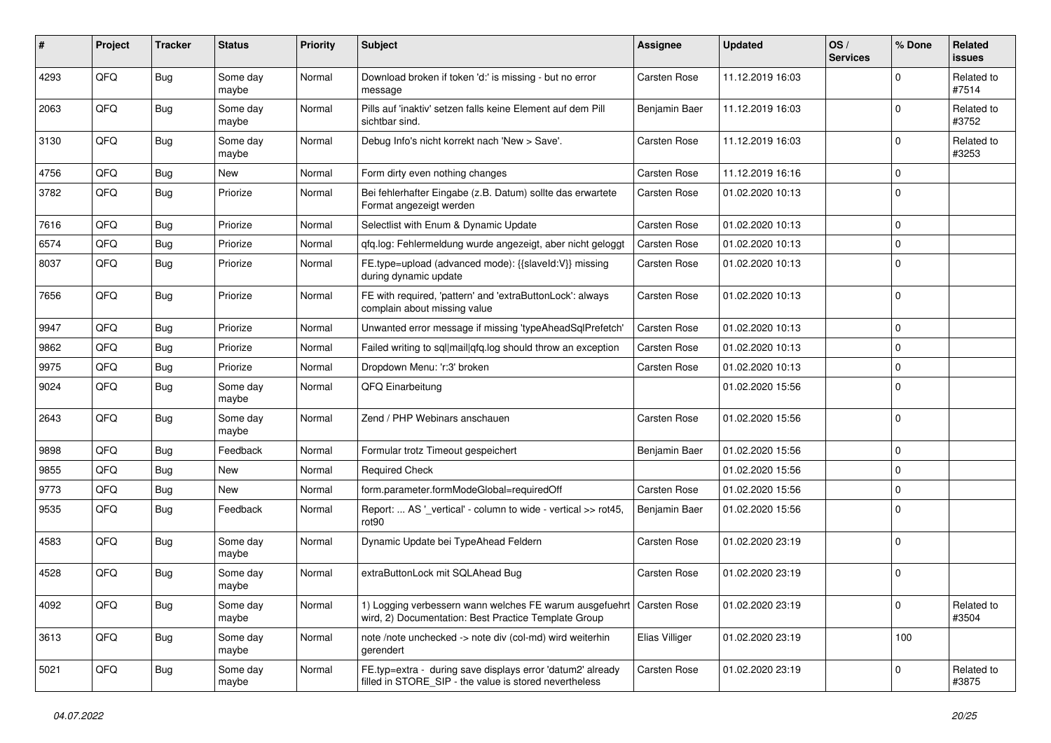| ∦    | Project | <b>Tracker</b> | <b>Status</b>     | <b>Priority</b> | <b>Subject</b>                                                                                                       | <b>Assignee</b>     | <b>Updated</b>   | OS/<br><b>Services</b> | % Done      | Related<br><b>issues</b> |
|------|---------|----------------|-------------------|-----------------|----------------------------------------------------------------------------------------------------------------------|---------------------|------------------|------------------------|-------------|--------------------------|
| 4293 | QFQ     | <b>Bug</b>     | Some day<br>maybe | Normal          | Download broken if token 'd:' is missing - but no error<br>message                                                   | <b>Carsten Rose</b> | 11.12.2019 16:03 |                        | 0           | Related to<br>#7514      |
| 2063 | QFQ     | Bug            | Some day<br>maybe | Normal          | Pills auf 'inaktiv' setzen falls keine Element auf dem Pill<br>sichtbar sind.                                        | Benjamin Baer       | 11.12.2019 16:03 |                        | $\Omega$    | Related to<br>#3752      |
| 3130 | QFQ     | Bug            | Some day<br>maybe | Normal          | Debug Info's nicht korrekt nach 'New > Save'.                                                                        | <b>Carsten Rose</b> | 11.12.2019 16:03 |                        | $\Omega$    | Related to<br>#3253      |
| 4756 | QFQ     | Bug            | <b>New</b>        | Normal          | Form dirty even nothing changes                                                                                      | <b>Carsten Rose</b> | 11.12.2019 16:16 |                        | $\mathbf 0$ |                          |
| 3782 | QFQ     | Bug            | Priorize          | Normal          | Bei fehlerhafter Eingabe (z.B. Datum) sollte das erwartete<br>Format angezeigt werden                                | Carsten Rose        | 01.02.2020 10:13 |                        | $\Omega$    |                          |
| 7616 | QFQ     | Bug            | Priorize          | Normal          | Selectlist with Enum & Dynamic Update                                                                                | <b>Carsten Rose</b> | 01.02.2020 10:13 |                        | $\Omega$    |                          |
| 6574 | QFQ     | <b>Bug</b>     | Priorize          | Normal          | qfq.log: Fehlermeldung wurde angezeigt, aber nicht geloggt                                                           | <b>Carsten Rose</b> | 01.02.2020 10:13 |                        | $\mathbf 0$ |                          |
| 8037 | QFQ     | Bug            | Priorize          | Normal          | FE.type=upload (advanced mode): {{slaveId:V}} missing<br>during dynamic update                                       | Carsten Rose        | 01.02.2020 10:13 |                        | $\Omega$    |                          |
| 7656 | QFQ     | Bug            | Priorize          | Normal          | FE with required, 'pattern' and 'extraButtonLock': always<br>complain about missing value                            | Carsten Rose        | 01.02.2020 10:13 |                        | $\Omega$    |                          |
| 9947 | QFQ     | Bug            | Priorize          | Normal          | Unwanted error message if missing 'typeAheadSqlPrefetch'                                                             | Carsten Rose        | 01.02.2020 10:13 |                        | $\Omega$    |                          |
| 9862 | QFQ     | Bug            | Priorize          | Normal          | Failed writing to sql mail qfq.log should throw an exception                                                         | <b>Carsten Rose</b> | 01.02.2020 10:13 |                        | $\Omega$    |                          |
| 9975 | QFQ     | Bug            | Priorize          | Normal          | Dropdown Menu: 'r:3' broken                                                                                          | <b>Carsten Rose</b> | 01.02.2020 10:13 |                        | $\Omega$    |                          |
| 9024 | QFQ     | <b>Bug</b>     | Some day<br>maybe | Normal          | QFQ Einarbeitung                                                                                                     |                     | 01.02.2020 15:56 |                        | $\Omega$    |                          |
| 2643 | QFQ     | Bug            | Some day<br>maybe | Normal          | Zend / PHP Webinars anschauen                                                                                        | <b>Carsten Rose</b> | 01.02.2020 15:56 |                        | $\Omega$    |                          |
| 9898 | QFQ     | Bug            | Feedback          | Normal          | Formular trotz Timeout gespeichert                                                                                   | Benjamin Baer       | 01.02.2020 15:56 |                        | $\mathbf 0$ |                          |
| 9855 | QFQ     | Bug            | <b>New</b>        | Normal          | <b>Required Check</b>                                                                                                |                     | 01.02.2020 15:56 |                        | $\Omega$    |                          |
| 9773 | QFQ     | <b>Bug</b>     | <b>New</b>        | Normal          | form.parameter.formModeGlobal=requiredOff                                                                            | <b>Carsten Rose</b> | 01.02.2020 15:56 |                        | $\Omega$    |                          |
| 9535 | QFQ     | Bug            | Feedback          | Normal          | Report:  AS '_vertical' - column to wide - vertical >> rot45,<br>rot <sub>90</sub>                                   | Benjamin Baer       | 01.02.2020 15:56 |                        | $\mathbf 0$ |                          |
| 4583 | QFQ     | Bug            | Some day<br>maybe | Normal          | Dynamic Update bei TypeAhead Feldern                                                                                 | Carsten Rose        | 01.02.2020 23:19 |                        | $\mathbf 0$ |                          |
| 4528 | QFQ     | Bug            | Some day<br>maybe | Normal          | extraButtonLock mit SQLAhead Bug                                                                                     | <b>Carsten Rose</b> | 01.02.2020 23:19 |                        | $\mathbf 0$ |                          |
| 4092 | QFQ     | <b>Bug</b>     | Some day<br>maybe | Normal          | 1) Logging verbessern wann welches FE warum ausgefuehrt<br>wird, 2) Documentation: Best Practice Template Group      | Carsten Rose        | 01.02.2020 23:19 |                        | 0           | Related to<br>#3504      |
| 3613 | QFG     | <b>Bug</b>     | Some day<br>maybe | Normal          | note /note unchecked -> note div (col-md) wird weiterhin<br>gerendert                                                | Elias Villiger      | 01.02.2020 23:19 |                        | 100         |                          |
| 5021 | QFQ     | <b>Bug</b>     | Some day<br>maybe | Normal          | FE.typ=extra - during save displays error 'datum2' already<br>filled in STORE_SIP - the value is stored nevertheless | Carsten Rose        | 01.02.2020 23:19 |                        | $\mathbf 0$ | Related to<br>#3875      |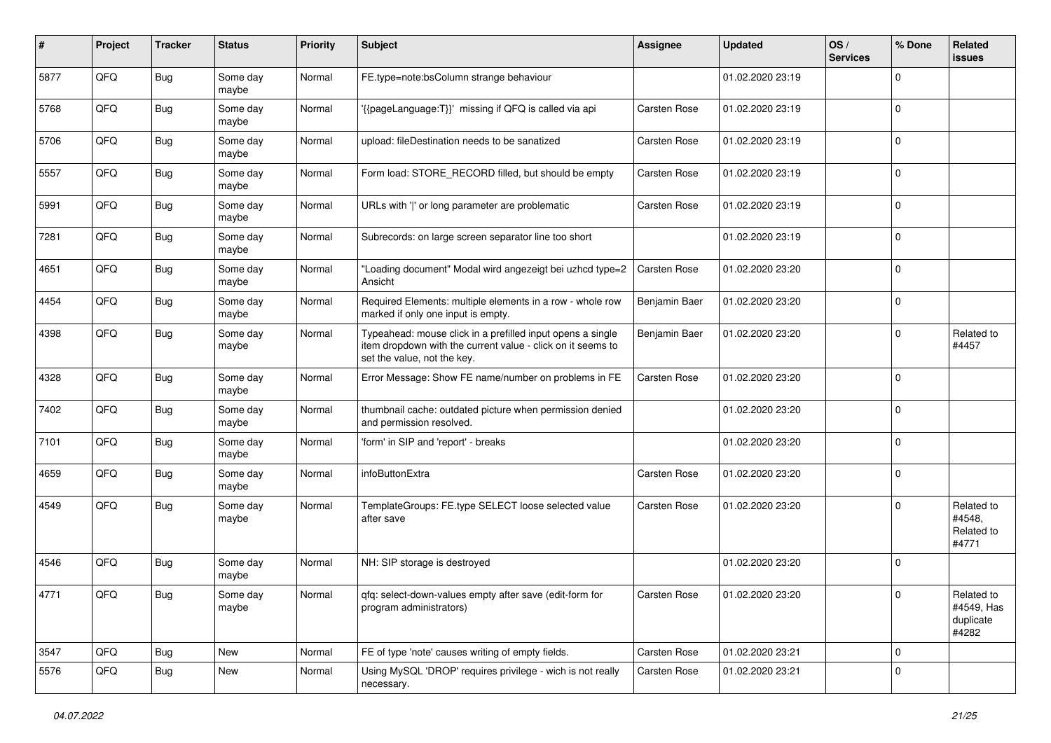| #    | Project | <b>Tracker</b> | <b>Status</b>     | <b>Priority</b> | <b>Subject</b>                                                                                                                                           | <b>Assignee</b>     | <b>Updated</b>   | OS/<br><b>Services</b> | % Done      | Related<br><b>issues</b>                       |
|------|---------|----------------|-------------------|-----------------|----------------------------------------------------------------------------------------------------------------------------------------------------------|---------------------|------------------|------------------------|-------------|------------------------------------------------|
| 5877 | QFQ     | Bug            | Some day<br>maybe | Normal          | FE.type=note:bsColumn strange behaviour                                                                                                                  |                     | 01.02.2020 23:19 |                        | $\Omega$    |                                                |
| 5768 | QFQ     | Bug            | Some day<br>maybe | Normal          | '{{pageLanguage:T}}' missing if QFQ is called via api                                                                                                    | Carsten Rose        | 01.02.2020 23:19 |                        | $\mathbf 0$ |                                                |
| 5706 | QFQ     | Bug            | Some day<br>maybe | Normal          | upload: fileDestination needs to be sanatized                                                                                                            | Carsten Rose        | 01.02.2020 23:19 |                        | $\Omega$    |                                                |
| 5557 | QFQ     | Bug            | Some day<br>maybe | Normal          | Form load: STORE_RECORD filled, but should be empty                                                                                                      | <b>Carsten Rose</b> | 01.02.2020 23:19 |                        | $\mathbf 0$ |                                                |
| 5991 | QFQ     | Bug            | Some day<br>maybe | Normal          | URLs with ' ' or long parameter are problematic                                                                                                          | Carsten Rose        | 01.02.2020 23:19 |                        | $\Omega$    |                                                |
| 7281 | QFQ     | Bug            | Some day<br>maybe | Normal          | Subrecords: on large screen separator line too short                                                                                                     |                     | 01.02.2020 23:19 |                        | $\Omega$    |                                                |
| 4651 | QFQ     | <b>Bug</b>     | Some day<br>maybe | Normal          | 'Loading document" Modal wird angezeigt bei uzhcd type=2<br>Ansicht                                                                                      | <b>Carsten Rose</b> | 01.02.2020 23:20 |                        | $\Omega$    |                                                |
| 4454 | QFQ     | Bug            | Some day<br>maybe | Normal          | Required Elements: multiple elements in a row - whole row<br>marked if only one input is empty.                                                          | Benjamin Baer       | 01.02.2020 23:20 |                        | $\Omega$    |                                                |
| 4398 | QFQ     | Bug            | Some day<br>maybe | Normal          | Typeahead: mouse click in a prefilled input opens a single<br>item dropdown with the current value - click on it seems to<br>set the value, not the key. | Benjamin Baer       | 01.02.2020 23:20 |                        | $\Omega$    | Related to<br>#4457                            |
| 4328 | QFQ     | Bug            | Some day<br>maybe | Normal          | Error Message: Show FE name/number on problems in FE                                                                                                     | <b>Carsten Rose</b> | 01.02.2020 23:20 |                        | $\Omega$    |                                                |
| 7402 | QFQ     | Bug            | Some day<br>maybe | Normal          | thumbnail cache: outdated picture when permission denied<br>and permission resolved.                                                                     |                     | 01.02.2020 23:20 |                        | $\Omega$    |                                                |
| 7101 | QFQ     | Bug            | Some day<br>maybe | Normal          | 'form' in SIP and 'report' - breaks                                                                                                                      |                     | 01.02.2020 23:20 |                        | $\Omega$    |                                                |
| 4659 | QFQ     | <b>Bug</b>     | Some day<br>maybe | Normal          | infoButtonExtra                                                                                                                                          | Carsten Rose        | 01.02.2020 23:20 |                        | $\Omega$    |                                                |
| 4549 | QFQ     | Bug            | Some day<br>maybe | Normal          | TemplateGroups: FE.type SELECT loose selected value<br>after save                                                                                        | <b>Carsten Rose</b> | 01.02.2020 23:20 |                        | $\Omega$    | Related to<br>#4548,<br>Related to<br>#4771    |
| 4546 | QFQ     | <b>Bug</b>     | Some day<br>maybe | Normal          | NH: SIP storage is destroyed                                                                                                                             |                     | 01.02.2020 23:20 |                        | $\Omega$    |                                                |
| 4771 | QFQ     | Bug            | Some day<br>maybe | Normal          | qfq: select-down-values empty after save (edit-form for<br>program administrators)                                                                       | <b>Carsten Rose</b> | 01.02.2020 23:20 |                        | $\pmb{0}$   | Related to<br>#4549, Has<br>duplicate<br>#4282 |
| 3547 | QFQ     | Bug            | New               | Normal          | FE of type 'note' causes writing of empty fields.                                                                                                        | Carsten Rose        | 01.02.2020 23:21 |                        | $\mathbf 0$ |                                                |
| 5576 | QFQ     | Bug            | New               | Normal          | Using MySQL 'DROP' requires privilege - wich is not really<br>necessary.                                                                                 | Carsten Rose        | 01.02.2020 23:21 |                        | $\mathbf 0$ |                                                |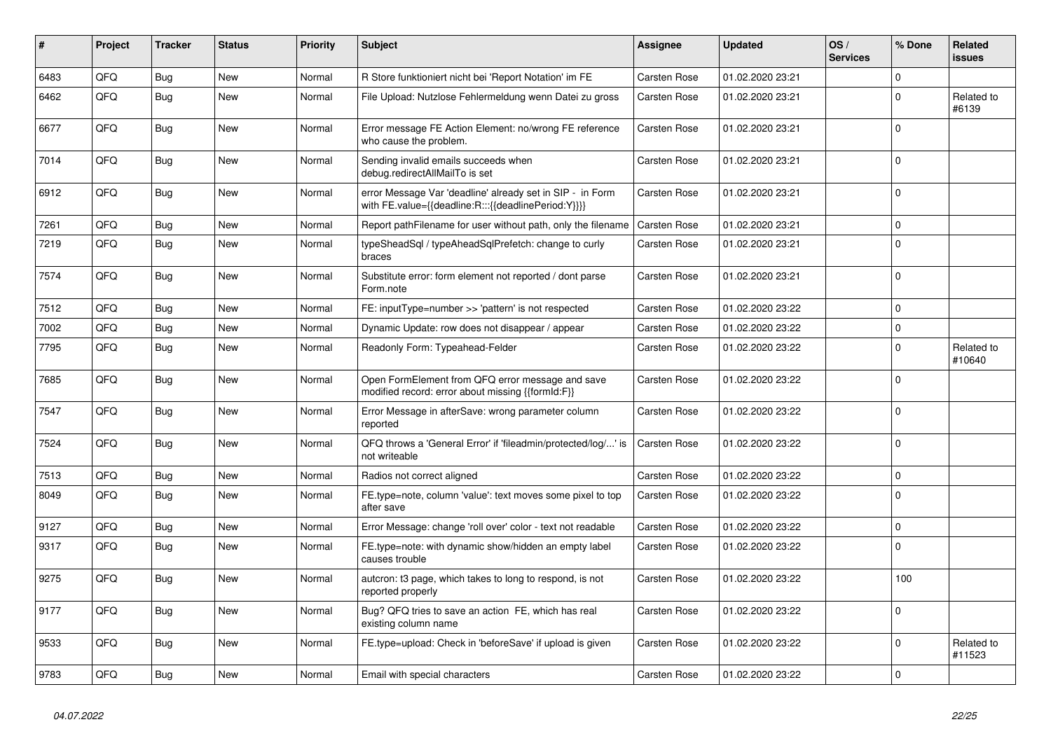| #    | Project | <b>Tracker</b> | <b>Status</b> | <b>Priority</b> | <b>Subject</b>                                                                                                   | Assignee            | <b>Updated</b>   | OS/<br><b>Services</b> | % Done      | Related<br><b>issues</b> |
|------|---------|----------------|---------------|-----------------|------------------------------------------------------------------------------------------------------------------|---------------------|------------------|------------------------|-------------|--------------------------|
| 6483 | QFQ     | Bug            | <b>New</b>    | Normal          | R Store funktioniert nicht bei 'Report Notation' im FE                                                           | Carsten Rose        | 01.02.2020 23:21 |                        | $\Omega$    |                          |
| 6462 | QFQ     | <b>Bug</b>     | <b>New</b>    | Normal          | File Upload: Nutzlose Fehlermeldung wenn Datei zu gross                                                          | <b>Carsten Rose</b> | 01.02.2020 23:21 |                        | $\Omega$    | Related to<br>#6139      |
| 6677 | QFQ     | Bug            | <b>New</b>    | Normal          | Error message FE Action Element: no/wrong FE reference<br>who cause the problem.                                 | <b>Carsten Rose</b> | 01.02.2020 23:21 |                        | $\Omega$    |                          |
| 7014 | QFQ     | Bug            | New           | Normal          | Sending invalid emails succeeds when<br>debug.redirectAllMailTo is set                                           | Carsten Rose        | 01.02.2020 23:21 |                        | $\mathbf 0$ |                          |
| 6912 | QFQ     | <b>Bug</b>     | New           | Normal          | error Message Var 'deadline' already set in SIP - in Form<br>with FE.value={{deadline:R:::{{deadlinePeriod:Y}}}} | Carsten Rose        | 01.02.2020 23:21 |                        | $\Omega$    |                          |
| 7261 | QFQ     | <b>Bug</b>     | <b>New</b>    | Normal          | Report pathFilename for user without path, only the filename                                                     | Carsten Rose        | 01.02.2020 23:21 |                        | $\Omega$    |                          |
| 7219 | QFQ     | <b>Bug</b>     | <b>New</b>    | Normal          | typeSheadSql / typeAheadSqlPrefetch: change to curly<br>braces                                                   | Carsten Rose        | 01.02.2020 23:21 |                        | $\Omega$    |                          |
| 7574 | QFQ     | <b>Bug</b>     | New           | Normal          | Substitute error: form element not reported / dont parse<br>Form.note                                            | Carsten Rose        | 01.02.2020 23:21 |                        | $\Omega$    |                          |
| 7512 | QFQ     | Bug            | <b>New</b>    | Normal          | FE: inputType=number >> 'pattern' is not respected                                                               | Carsten Rose        | 01.02.2020 23:22 |                        | $\Omega$    |                          |
| 7002 | QFQ     | Bug            | New           | Normal          | Dynamic Update: row does not disappear / appear                                                                  | Carsten Rose        | 01.02.2020 23:22 |                        | $\mathbf 0$ |                          |
| 7795 | QFQ     | Bug            | New           | Normal          | Readonly Form: Typeahead-Felder                                                                                  | Carsten Rose        | 01.02.2020 23:22 |                        | $\Omega$    | Related to<br>#10640     |
| 7685 | QFQ     | <b>Bug</b>     | New           | Normal          | Open FormElement from QFQ error message and save<br>modified record: error about missing {{formId:F}}            | Carsten Rose        | 01.02.2020 23:22 |                        | $\Omega$    |                          |
| 7547 | QFQ     | Bug            | <b>New</b>    | Normal          | Error Message in afterSave: wrong parameter column<br>reported                                                   | Carsten Rose        | 01.02.2020 23:22 |                        | $\Omega$    |                          |
| 7524 | QFQ     | Bug            | New           | Normal          | QFQ throws a 'General Error' if 'fileadmin/protected/log/' is<br>not writeable                                   | <b>Carsten Rose</b> | 01.02.2020 23:22 |                        | $\Omega$    |                          |
| 7513 | QFQ     | Bug            | <b>New</b>    | Normal          | Radios not correct aligned                                                                                       | Carsten Rose        | 01.02.2020 23:22 |                        | $\mathbf 0$ |                          |
| 8049 | QFQ     | Bug            | New           | Normal          | FE.type=note, column 'value': text moves some pixel to top<br>after save                                         | Carsten Rose        | 01.02.2020 23:22 |                        | $\Omega$    |                          |
| 9127 | QFQ     | <b>Bug</b>     | <b>New</b>    | Normal          | Error Message: change 'roll over' color - text not readable                                                      | Carsten Rose        | 01.02.2020 23:22 |                        | $\Omega$    |                          |
| 9317 | QFQ     | Bug            | <b>New</b>    | Normal          | FE.type=note: with dynamic show/hidden an empty label<br>causes trouble                                          | Carsten Rose        | 01.02.2020 23:22 |                        | $\Omega$    |                          |
| 9275 | QFQ     | Bug            | New           | Normal          | autcron: t3 page, which takes to long to respond, is not<br>reported properly                                    | Carsten Rose        | 01.02.2020 23:22 |                        | 100         |                          |
| 9177 | QFQ     | Bug            | New           | Normal          | Bug? QFQ tries to save an action FE, which has real<br>existing column name                                      | <b>Carsten Rose</b> | 01.02.2020 23:22 |                        | $\Omega$    |                          |
| 9533 | QFQ     | Bug            | New           | Normal          | FE.type=upload: Check in 'beforeSave' if upload is given                                                         | Carsten Rose        | 01.02.2020 23:22 |                        | $\Omega$    | Related to<br>#11523     |
| 9783 | QFQ     | Bug            | <b>New</b>    | Normal          | Email with special characters                                                                                    | <b>Carsten Rose</b> | 01.02.2020 23:22 |                        | $\Omega$    |                          |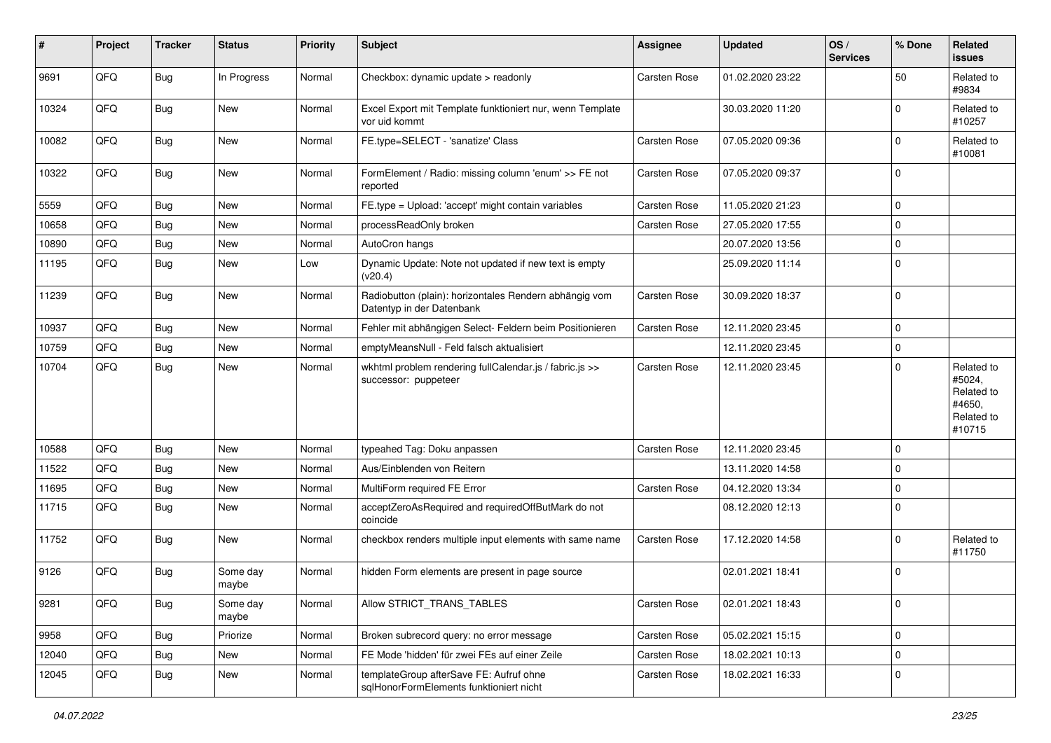| #     | Project | <b>Tracker</b> | <b>Status</b>     | <b>Priority</b> | <b>Subject</b>                                                                      | <b>Assignee</b>     | <b>Updated</b>   | OS/<br><b>Services</b> | % Done      | Related<br><b>issues</b>                                             |
|-------|---------|----------------|-------------------|-----------------|-------------------------------------------------------------------------------------|---------------------|------------------|------------------------|-------------|----------------------------------------------------------------------|
| 9691  | QFQ     | Bug            | In Progress       | Normal          | Checkbox: dynamic update > readonly                                                 | Carsten Rose        | 01.02.2020 23:22 |                        | 50          | Related to<br>#9834                                                  |
| 10324 | QFQ     | Bug            | <b>New</b>        | Normal          | Excel Export mit Template funktioniert nur, wenn Template<br>vor uid kommt          |                     | 30.03.2020 11:20 |                        | $\Omega$    | Related to<br>#10257                                                 |
| 10082 | QFQ     | Bug            | <b>New</b>        | Normal          | FE.type=SELECT - 'sanatize' Class                                                   | Carsten Rose        | 07.05.2020 09:36 |                        | $\Omega$    | Related to<br>#10081                                                 |
| 10322 | QFQ     | Bug            | New               | Normal          | FormElement / Radio: missing column 'enum' >> FE not<br>reported                    | <b>Carsten Rose</b> | 07.05.2020 09:37 |                        | $\Omega$    |                                                                      |
| 5559  | QFQ     | Bug            | <b>New</b>        | Normal          | FE.type = Upload: 'accept' might contain variables                                  | Carsten Rose        | 11.05.2020 21:23 |                        | $\mathbf 0$ |                                                                      |
| 10658 | QFQ     | Bug            | <b>New</b>        | Normal          | processReadOnly broken                                                              | Carsten Rose        | 27.05.2020 17:55 |                        | $\mathbf 0$ |                                                                      |
| 10890 | QFQ     | <b>Bug</b>     | <b>New</b>        | Normal          | AutoCron hangs                                                                      |                     | 20.07.2020 13:56 |                        | $\mathbf 0$ |                                                                      |
| 11195 | QFQ     | Bug            | <b>New</b>        | Low             | Dynamic Update: Note not updated if new text is empty<br>(v20.4)                    |                     | 25.09.2020 11:14 |                        | $\mathbf 0$ |                                                                      |
| 11239 | QFQ     | Bug            | <b>New</b>        | Normal          | Radiobutton (plain): horizontales Rendern abhängig vom<br>Datentyp in der Datenbank | Carsten Rose        | 30.09.2020 18:37 |                        | $\Omega$    |                                                                      |
| 10937 | QFQ     | <b>Bug</b>     | <b>New</b>        | Normal          | Fehler mit abhängigen Select- Feldern beim Positionieren                            | Carsten Rose        | 12.11.2020 23:45 |                        | $\Omega$    |                                                                      |
| 10759 | QFQ     | Bug            | <b>New</b>        | Normal          | emptyMeansNull - Feld falsch aktualisiert                                           |                     | 12.11.2020 23:45 |                        | $\mathbf 0$ |                                                                      |
| 10704 | QFQ     | Bug            | New               | Normal          | wkhtml problem rendering fullCalendar.js / fabric.js >><br>successor: puppeteer     | <b>Carsten Rose</b> | 12.11.2020 23:45 |                        | $\Omega$    | Related to<br>#5024,<br>Related to<br>#4650,<br>Related to<br>#10715 |
| 10588 | QFQ     | Bug            | <b>New</b>        | Normal          | typeahed Tag: Doku anpassen                                                         | Carsten Rose        | 12.11.2020 23:45 |                        | $\Omega$    |                                                                      |
| 11522 | QFQ     | Bug            | <b>New</b>        | Normal          | Aus/Einblenden von Reitern                                                          |                     | 13.11.2020 14:58 |                        | $\Omega$    |                                                                      |
| 11695 | QFQ     | Bug            | <b>New</b>        | Normal          | MultiForm required FE Error                                                         | Carsten Rose        | 04.12.2020 13:34 |                        | $\Omega$    |                                                                      |
| 11715 | QFQ     | <b>Bug</b>     | <b>New</b>        | Normal          | acceptZeroAsRequired and requiredOffButMark do not<br>coincide                      |                     | 08.12.2020 12:13 |                        | $\Omega$    |                                                                      |
| 11752 | QFQ     | Bug            | <b>New</b>        | Normal          | checkbox renders multiple input elements with same name                             | Carsten Rose        | 17.12.2020 14:58 |                        | $\Omega$    | Related to<br>#11750                                                 |
| 9126  | QFQ     | Bug            | Some day<br>maybe | Normal          | hidden Form elements are present in page source                                     |                     | 02.01.2021 18:41 |                        | 0           |                                                                      |
| 9281  | QFQ     | <b>Bug</b>     | Some day<br>maybe | Normal          | Allow STRICT_TRANS_TABLES                                                           | Carsten Rose        | 02.01.2021 18:43 |                        | 0           |                                                                      |
| 9958  | QFQ     | <b>Bug</b>     | Priorize          | Normal          | Broken subrecord query: no error message                                            | Carsten Rose        | 05.02.2021 15:15 |                        | $\mathbf 0$ |                                                                      |
| 12040 | QFQ     | <b>Bug</b>     | New               | Normal          | FE Mode 'hidden' für zwei FEs auf einer Zeile                                       | Carsten Rose        | 18.02.2021 10:13 |                        | $\mathbf 0$ |                                                                      |
| 12045 | QFQ     | <b>Bug</b>     | New               | Normal          | templateGroup afterSave FE: Aufruf ohne<br>sqlHonorFormElements funktioniert nicht  | Carsten Rose        | 18.02.2021 16:33 |                        | $\mathbf 0$ |                                                                      |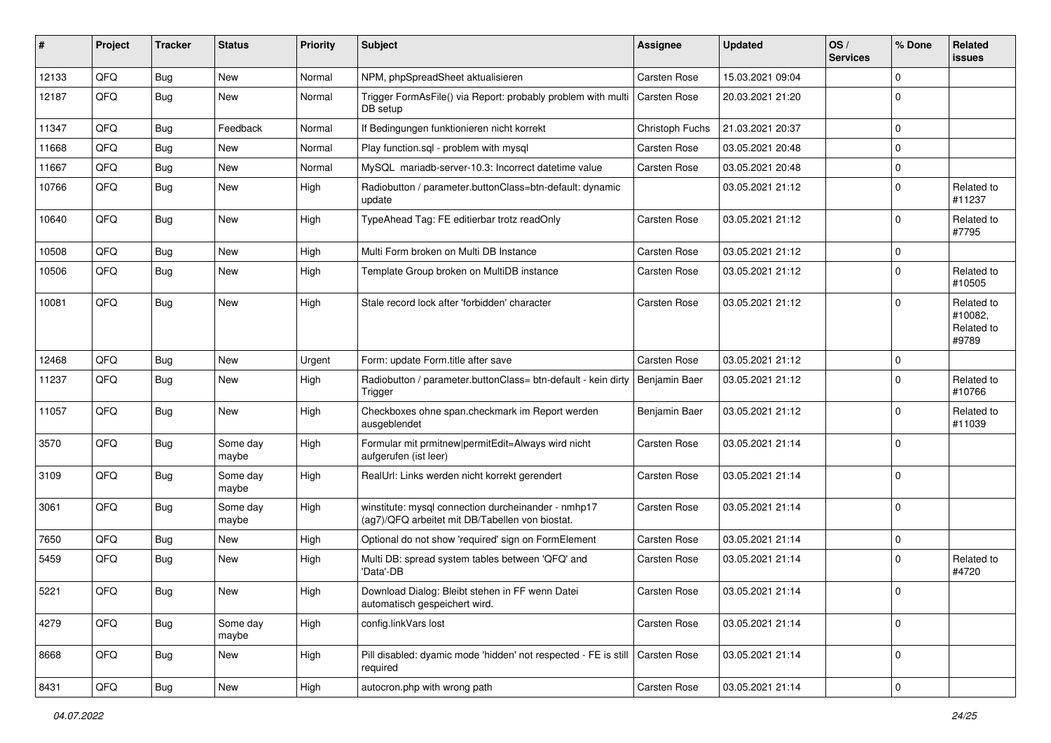| #     | Project | <b>Tracker</b> | <b>Status</b>     | <b>Priority</b> | Subject                                                                                                | <b>Assignee</b>     | <b>Updated</b>   | OS/<br><b>Services</b> | % Done      | Related<br><b>issues</b>                     |
|-------|---------|----------------|-------------------|-----------------|--------------------------------------------------------------------------------------------------------|---------------------|------------------|------------------------|-------------|----------------------------------------------|
| 12133 | QFQ     | Bug            | New               | Normal          | NPM, phpSpreadSheet aktualisieren                                                                      | Carsten Rose        | 15.03.2021 09:04 |                        | $\Omega$    |                                              |
| 12187 | QFQ     | <b>Bug</b>     | <b>New</b>        | Normal          | Trigger FormAsFile() via Report: probably problem with multi<br>DB setup                               | <b>Carsten Rose</b> | 20.03.2021 21:20 |                        | $\Omega$    |                                              |
| 11347 | QFQ     | <b>Bug</b>     | Feedback          | Normal          | If Bedingungen funktionieren nicht korrekt                                                             | Christoph Fuchs     | 21.03.2021 20:37 |                        | $\mathbf 0$ |                                              |
| 11668 | QFQ     | <b>Bug</b>     | New               | Normal          | Play function.sql - problem with mysql                                                                 | Carsten Rose        | 03.05.2021 20:48 |                        | $\Omega$    |                                              |
| 11667 | QFQ     | <b>Bug</b>     | <b>New</b>        | Normal          | MySQL mariadb-server-10.3: Incorrect datetime value                                                    | Carsten Rose        | 03.05.2021 20:48 |                        | $\Omega$    |                                              |
| 10766 | QFQ     | Bug            | New               | High            | Radiobutton / parameter.buttonClass=btn-default: dynamic<br>update                                     |                     | 03.05.2021 21:12 |                        | $\Omega$    | Related to<br>#11237                         |
| 10640 | QFQ     | <b>Bug</b>     | New               | High            | TypeAhead Tag: FE editierbar trotz readOnly                                                            | <b>Carsten Rose</b> | 03.05.2021 21:12 |                        | $\mathbf 0$ | Related to<br>#7795                          |
| 10508 | QFQ     | <b>Bug</b>     | <b>New</b>        | High            | Multi Form broken on Multi DB Instance                                                                 | Carsten Rose        | 03.05.2021 21:12 |                        | $\mathbf 0$ |                                              |
| 10506 | QFQ     | Bug            | <b>New</b>        | High            | Template Group broken on MultiDB instance                                                              | <b>Carsten Rose</b> | 03.05.2021 21:12 |                        | $\Omega$    | Related to<br>#10505                         |
| 10081 | QFQ     | Bug            | <b>New</b>        | High            | Stale record lock after 'forbidden' character                                                          | <b>Carsten Rose</b> | 03.05.2021 21:12 |                        | $\Omega$    | Related to<br>#10082,<br>Related to<br>#9789 |
| 12468 | QFQ     | Bug            | <b>New</b>        | Urgent          | Form: update Form.title after save                                                                     | Carsten Rose        | 03.05.2021 21:12 |                        | $\mathbf 0$ |                                              |
| 11237 | QFQ     | Bug            | <b>New</b>        | High            | Radiobutton / parameter.buttonClass= btn-default - kein dirty<br>Trigger                               | Benjamin Baer       | 03.05.2021 21:12 |                        | $\Omega$    | Related to<br>#10766                         |
| 11057 | QFQ     | Bug            | New               | High            | Checkboxes ohne span.checkmark im Report werden<br>ausgeblendet                                        | Benjamin Baer       | 03.05.2021 21:12 |                        | $\Omega$    | Related to<br>#11039                         |
| 3570  | QFQ     | <b>Bug</b>     | Some day<br>maybe | High            | Formular mit prmitnew permitEdit=Always wird nicht<br>aufgerufen (ist leer)                            | <b>Carsten Rose</b> | 03.05.2021 21:14 |                        | $\Omega$    |                                              |
| 3109  | QFQ     | Bug            | Some day<br>maybe | High            | RealUrl: Links werden nicht korrekt gerendert                                                          | <b>Carsten Rose</b> | 03.05.2021 21:14 |                        | $\Omega$    |                                              |
| 3061  | QFQ     | Bug            | Some day<br>maybe | High            | winstitute: mysql connection durcheinander - nmhp17<br>(ag7)/QFQ arbeitet mit DB/Tabellen von biostat. | Carsten Rose        | 03.05.2021 21:14 |                        | $\Omega$    |                                              |
| 7650  | QFQ     | Bug            | <b>New</b>        | High            | Optional do not show 'required' sign on FormElement                                                    | Carsten Rose        | 03.05.2021 21:14 |                        | 0           |                                              |
| 5459  | QFQ     | Bug            | <b>New</b>        | High            | Multi DB: spread system tables between 'QFQ' and<br>'Data'-DB                                          | <b>Carsten Rose</b> | 03.05.2021 21:14 |                        | $\Omega$    | Related to<br>#4720                          |
| 5221  | QFQ     | Bug            | New               | High            | Download Dialog: Bleibt stehen in FF wenn Datei<br>automatisch gespeichert wird.                       | Carsten Rose        | 03.05.2021 21:14 |                        | $\Omega$    |                                              |
| 4279  | QFQ     | Bug            | Some day<br>maybe | High            | config.linkVars lost                                                                                   | Carsten Rose        | 03.05.2021 21:14 |                        | $\mathbf 0$ |                                              |
| 8668  | QFQ     | Bug            | New               | High            | Pill disabled: dyamic mode 'hidden' not respected - FE is still   Carsten Rose<br>required             |                     | 03.05.2021 21:14 |                        | $\mathbf 0$ |                                              |
| 8431  | QFQ     | Bug            | New               | High            | autocron.php with wrong path                                                                           | Carsten Rose        | 03.05.2021 21:14 |                        | $\pmb{0}$   |                                              |